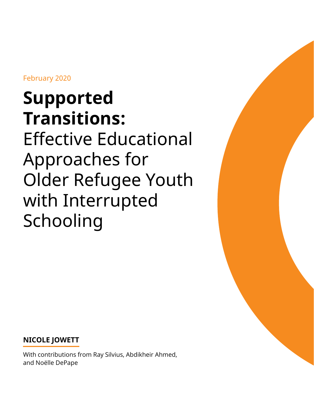February 2020

# **Supported Transitions:** Effective Educational Approaches for Older Refugee Youth with Interrupted Schooling



**NICOLE JOWETT**

With contributions from Ray Silvius, Abdikheir Ahmed, and Noëlle DePape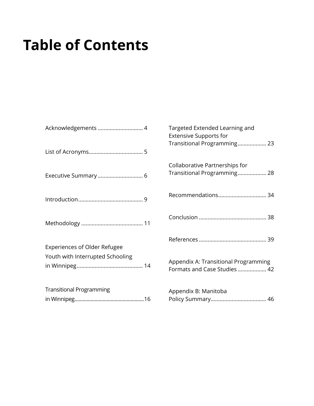# **Table of Contents**

| Acknowledgements  4                 | Tar,<br>Ext<br>Tra |
|-------------------------------------|--------------------|
|                                     | Coll<br>Trai       |
|                                     | Rec                |
|                                     | Cor                |
| <b>Experiences of Older Refugee</b> | Ref                |
| Youth with Interrupted Schooling    | App<br>For         |
| <b>Transitional Programming</b>     | App<br>Poli        |

| Targeted Extended Learning and<br><b>Extensive Supports for</b><br>Transitional Programming 23 |
|------------------------------------------------------------------------------------------------|
| Collaborative Partnerships for<br>Transitional Programming 28                                  |
| Recommendations 34                                                                             |
|                                                                                                |
|                                                                                                |
| Appendix A: Transitional Programming<br>Formats and Case Studies  42                           |
| Appendix B: Manitoba                                                                           |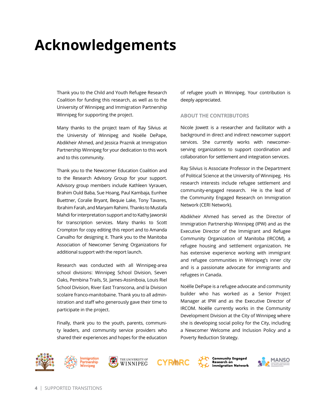# <span id="page-3-0"></span>**Acknowledgements**

Thank you to the Child and Youth Refugee Research Coalition for funding this research, as well as to the University of Winnipeg and Immigration Partnership Winnipeg for supporting the project.

Many thanks to the project team of Ray Silvius at the University of Winnipeg and Noëlle DePape, Abdikheir Ahmed, and Jessica Praznik at Immigration Partnership Winnipeg for your dedication to this work and to this community.

Thank you to the Newcomer Education Coalition and to the Research Advisory Group for your support. Advisory group members include Kathleen Vyrauen, Brahim Ould Baba, Sue Hoang, Paul Kambaja, Eunhee Buettner, Coralie Bryant, Bequie Lake, Tony Tavares, Ibrahim Farah, and Maryam Rahimi. Thanks to Mustafa Mahdi for interpretation support and to Kathy Jaworski for transcription services. Many thanks to Scott Crompton for copy editing this report and to Amanda Carvalho for designing it. Thank you to the Manitoba Association of Newcomer Serving Organizations for additional support with the report launch.

Research was conducted with all Winnipeg-area school divisions: Winnipeg School Division, Seven Oaks, Pembina Trails, St. James-Assiniboia, Louis Riel School Division, River East Transcona, and la Division scolaire franco-manitobaine. Thank you to all administration and staff who generously gave their time to participate in the project.

Finally, thank you to the youth, parents, community leaders, and community service providers who shared their experiences and hopes for the education of refugee youth in Winnipeg. Your contribution is deeply appreciated.

#### **ABOUT THE CONTRIBUTORS**

Nicole Jowett is a researcher and facilitator with a background in direct and indirect newcomer support services. She currently works with newcomerserving organizations to support coordination and collaboration for settlement and integration services.

Ray Silvius is Associate Professor in the Department of Political Science at the University of Winnipeg. His research interests include refugee settlement and community-engaged research. He is the lead of the Community Engaged Research on Immigration Network (CERI Network).

Abdikheir Ahmed has served as the Director of Immigration Partnership Winnipeg (IPW) and as the Executive Director of the Immigrant and Refugee Community Organization of Manitoba (IRCOM), a refugee housing and settlement organization. He has extensive experience working with immigrant and refugee communities in Winnipeg's inner city and is a passionate advocate for immigrants and refugees in Canada.

Noëlle DePape is a refugee advocate and community builder who has worked as a Senior Project Manager at IPW and as the Executive Director of IRCOM. Noëlle currently works in the Community Development Division at the City of Winnipeg where she is developing social policy for the City, including a Newcomer Welcome and Inclusion Policy and a Poverty Reduction Strategy.







**CYRMRC** 



Community Engaged Research on<br>Immigration Network

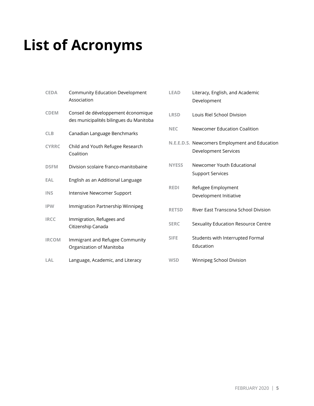# <span id="page-4-0"></span>**List of Acronyms**

| <b>Community Education Development</b><br>Association                          |
|--------------------------------------------------------------------------------|
| Conseil de développement économique<br>des municipalités bilingues du Manitoba |
| Canadian Language Benchmarks                                                   |
| Child and Youth Refugee Research<br>Coalition                                  |
| Division scolaire franco-manitobaine                                           |
| English as an Additional Language                                              |
| Intensive Newcomer Support                                                     |
| Immigration Partnership Winnipeg                                               |
| Immigration, Refugees and<br>Citizenship Canada                                |
| Immigrant and Refugee Community<br>Organization of Manitoba                    |
| Language, Academic, and Literacy                                               |
|                                                                                |

| <b>LEAD</b>  | Literacy, English, and Academic<br>Development                               |  |  |  |
|--------------|------------------------------------------------------------------------------|--|--|--|
| <b>LRSD</b>  | Louis Riel School Division                                                   |  |  |  |
| <b>NEC</b>   | Newcomer Education Coalition                                                 |  |  |  |
|              | N.E.E.D.S. Newcomers Employment and Education<br><b>Development Services</b> |  |  |  |
| <b>NYESS</b> | Newcomer Youth Educational<br><b>Support Services</b>                        |  |  |  |
| <b>REDI</b>  | Refugee Employment<br>Development Initiative                                 |  |  |  |
| <b>RETSD</b> | River Fast Transcona School Division                                         |  |  |  |
| <b>SERC</b>  | Sexuality Education Resource Centre                                          |  |  |  |
| <b>SIFE</b>  | Students with Interrupted Formal<br><b>Education</b>                         |  |  |  |
| <b>WSD</b>   | Winnipeg School Division                                                     |  |  |  |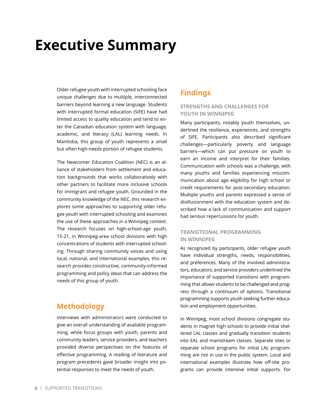# <span id="page-5-0"></span>**Executive Summary**

Older refugee youth with interrupted schooling face unique challenges due to multiple, interconnected barriers beyond learning a new language. Students with interrupted formal education (SIFE) have had limited access to quality education and tend to enter the Canadian education system with language, academic, and literacy (LAL) learning needs. In Manitoba, this group of youth represents a small but often high-needs portion of refugee students.

The Newcomer Education Coalition (NEC) is an alliance of stakeholders from settlement and education backgrounds that works collaboratively with other partners to facilitate more inclusive schools for immigrant and refugee youth. Grounded in the community knowledge of the NEC, this research explores some approaches to supporting older refugee youth with interrupted schooling and examines the use of these approaches in a Winnipeg context. The research focuses on high-school-age youth, 15-21, in Winnipeg-area school divisions with high concentrations of students with interrupted schooling. Through sharing community voices and using local, national, and international examples, this research provides constructive, community-informed programming and policy ideas that can address the needs of this group of youth.

## **Methodology**

Interviews with administrators were conducted to give an overall understanding of available programming, while focus groups with youth, parents and community leaders, service providers, and teachers provided diverse perspectives on the features of effective programming. A reading of literature and program precedents gave broader insight into potential responses to meet the needs of youth.

## **Findings**

### **STRENGTHS AND CHALLENGES FOR YOUTH IN WINNIPEG**

Many participants, notably youth themselves, underlined the resilience, experiences, and strengths of SIFE. Participants also described significant challenges—particularly poverty and language barriers—which can put pressure on youth to earn an income and interpret for their families. Communication with schools was a challenge, with many youths and families experiencing miscommunication about age eligibility for high school or credit requirements for post-secondary education. Multiple youths and parents expressed a sense of disillusionment with the education system and described how a lack of communication and support had serious repercussions for youth.

### **TRANSITIONAL PROGRAMMING IN WINNIPEG**

As recognized by participants, older refugee youth have individual strengths, needs, responsibilities, and preferences. Many of the involved administrators, educators, and service providers underlined the importance of supported transitions with programming that allows students to be challenged and progress through a continuum of options. Transitional programming supports youth seeking further education and employment opportunities.

In Winnipeg, most school divisions congregate students in magnet high schools to provide initial sheltered LAL classes and gradually transition students into EAL and mainstream classes. Separate sites or separate school programs for initial LAL programming are not in use in the public system. Local and international examples illustrate how off-site programs can provide intensive initial supports. For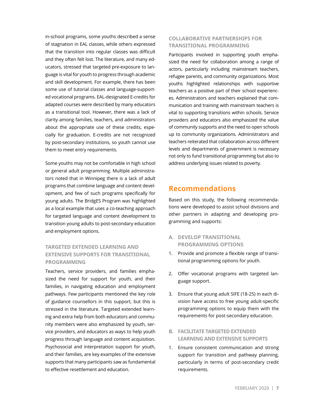in-school programs, some youths described a sense of stagnation in EAL classes, while others expressed that the transition into regular classes was difficult and they often felt lost. The literature, and many educators, stressed that targeted pre-exposure to language is vital for youth to progress through academic and skill development. For example, there has been some use of tutorial classes and language-supported vocational programs. EAL-designated E-credits for adapted courses were described by many educators as a transitional tool. However, there was a lack of clarity among families, teachers, and administrators about the appropriate use of these credits, especially for graduation. E-credits are not recognized by post-secondary institutions, so youth cannot use them to meet entry requirements.

Some youths may not be comfortable in high school or general adult programming. Multiple administrators noted that in Winnipeg there is a lack of adult programs that combine language and content development, and few of such programs specifically for young adults. The BridgES Program was highlighted as a local example that uses a co-teaching approach for targeted language and content development to transition young adults to post-secondary education and employment options.

### **TARGETED EXTENDED LEARNING AND EXTENSIVE SUPPORTS FOR TRANSITIONAL PROGRAMMING**

Teachers, service providers, and families emphasized the need for support for youth, and their families, in navigating education and employment pathways. Few participants mentioned the key role of guidance counsellors in this support, but this is stressed in the literature. Targeted extended learning and extra help from both educators and community members were also emphasized by youth, service providers, and educators as ways to help youth progress through language and content acquisition. Psychosocial and interpretation support for youth, and their families, are key examples of the extensive supports that many participants saw as fundamental to effective resettlement and education.

### **COLLABORATIVE PARTNERSHIPS FOR TRANSITIONAL PROGRAMMING**

Participants involved in supporting youth emphasized the need for collaboration among a range of actors, particularly including mainstream teachers, refugee parents, and community organizations. Most youths highlighted relationships with supportive teachers as a positive part of their school experiences. Administrators and teachers explained that communication and training with mainstream teachers is vital to supporting transitions within schools. Service providers and educators also emphasized the value of community supports and the need to open schools up to community organizations. Administrators and teachers reiterated that collaboration across different levels and departments of government is necessary not only to fund transitional programming but also to address underlying issues related to poverty.

## **Recommendations**

Based on this study, the following recommendations were developed to assist school divisions and other partners in adapting and developing programming and supports:

- **A. DEVELOP TRANSITIONAL PROGRAMMING OPTIONS**
- 1. Provide and promote a flexible range of transitional programming options for youth.
- 2. Offer vocational programs with targeted language support.
- 3. Ensure that young adult SIFE (18-25) in each division have access to free young adult-specific programming options to equip them with the requirements for post-secondary education.
- **B. FACILITATE TARGETED EXTENDED LEARNING AND EXTENSIVE SUPPORTS**
- 1. Ensure consistent communication and strong support for transition and pathway planning, particularly in terms of post-secondary credit requirements.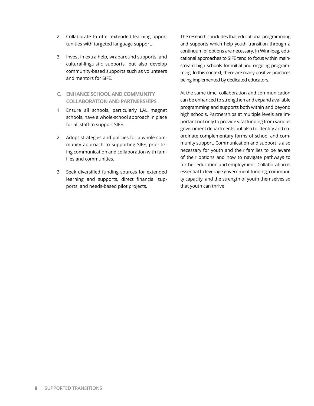- 2. Collaborate to offer extended learning opportunities with targeted language support.
- 3. Invest in extra help, wraparound supports, and cultural-linguistic supports, but also develop community-based supports such as volunteers and mentors for SIFE.
- **C. ENHANCE SCHOOL AND COMMUNITY COLLABORATION AND PARTNERSHIPS**
- 1. Ensure all schools, particularly LAL magnet schools, have a whole-school approach in place for all staff to support SIFE.
- 2. Adopt strategies and policies for a whole-community approach to supporting SIFE, prioritizing communication and collaboration with families and communities.
- 3. Seek diversified funding sources for extended learning and supports, direct financial supports, and needs-based pilot projects.

The research concludes that educational programming and supports which help youth transition through a continuum of options are necessary. In Winnipeg, educational approaches to SIFE tend to focus within mainstream high schools for initial and ongoing programming. In this context, there are many positive practices being implemented by dedicated educators.

At the same time, collaboration and communication can be enhanced to strengthen and expand available programming and supports both within and beyond high schools. Partnerships at multiple levels are important not only to provide vital funding from various government departments but also to identify and coordinate complementary forms of school and community support. Communication and support is also necessary for youth and their families to be aware of their options and how to navigate pathways to further education and employment. Collaboration is essential to leverage government funding, community capacity, and the strength of youth themselves so that youth can thrive.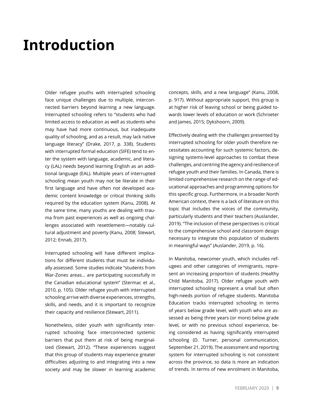# <span id="page-8-0"></span>**Introduction**

Older refugee youths with interrupted schooling face unique challenges due to multiple, interconnected barriers beyond learning a new language. Interrupted schooling refers to "students who had limited access to education as well as students who may have had more continuous, but inadequate quality of schooling, and as a result, may lack native language literacy" (Drake, 2017, p. 338). Students with interrupted formal education (SIFE) tend to enter the system with language, academic, and literacy (LAL) needs beyond learning English as an additional language (EAL). Multiple years of interrupted schooling mean youth may not be literate in their first language and have often not developed academic content knowledge or critical thinking skills required by the education system (Kanu, 2008). At the same time, many youths are dealing with trauma from past experiences as well as ongoing challenges associated with resettlement—notably cultural adjustment and poverty (Kanu, 2008; Stewart, 2012; Ennab, 2017).

Interrupted schooling will have different implications for different students that must be individually assessed. Some studies indicate "students from War-Zones areas… are participating successfully in the Canadian educational system" (Stermac et al., 2010, p. 105). Older refugee youth with interrupted schooling arrive with diverse experiences, strengths, skills, and needs, and it is important to recognize their capacity and resilience (Stewart, 2011).

Nonetheless, older youth with significantly interrupted schooling face interconnected systemic barriers that put them at risk of being marginalized (Stewart, 2012). "These experiences suggest that this group of students may experience greater difficulties adjusting to and integrating into a new society and may be slower in learning academic

concepts, skills, and a new language" (Kanu, 2008, p. 917). Without appropriate support, this group is at higher risk of leaving school or being guided towards lower levels of education or work (Schroeter and James, 2015; Dykshoorn, 2009).

Effectively dealing with the challenges presented by interrupted schooling for older youth therefore necessitates accounting for such systemic factors, designing systems-level approaches to combat these challenges, and centring the agency and resilience of refugee youth and their families. In Canada, there is limited comprehensive research on the range of educational approaches and programming options for this specific group. Furthermore, in a broader North American context, there is a lack of literature on this topic that includes the voices of the community, particularly students and their teachers (Auslander, 2019). "The inclusion of these perspectives is critical to the comprehensive school and classroom design necessary to integrate this population of students in meaningful ways" (Auslander, 2019, p. 16).

In Manitoba, newcomer youth, which includes refugees and other categories of immigrants, represent an increasing proportion of students (Healthy Child Manitoba, 2017). Older refugee youth with interrupted schooling represent a small but often high-needs portion of refugee students. Manitoba Education tracks interrupted schooling in terms of years below grade level, with youth who are assessed as being three years (or more) below grade level, or with no previous school experience, being considered as having significantly interrupted schooling (D. Turner, personal communication, September 21, 2019). The assessment and reporting system for interrupted schooling is not consistent across the province, so data is more an indication of trends. In terms of new enrolment in Manitoba,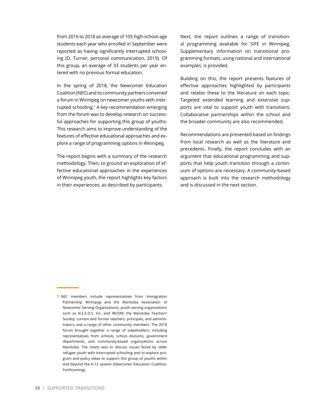from 2016 to 2018 an average of 105 high-school-age students each year who enrolled in September were reported as having significantly interrupted schooling (D. Turner, personal communication, 2019). Of this group, an average of 33 students per year entered with no previous formal education.

In the spring of 2018, the Newcomer Education Coalition (NEC) and its community partners convened a forum in Winnipeg on newcomer youths with interrupted schooling.<sup>1</sup> A key recommendation emerging from the forum was to develop research on successful approaches for supporting this group of youths. This research aims to improve understanding of the features of effective educational approaches and explore a range of programming options in Winnipeg.

The report begins with a summary of the research methodology. Then, to ground an exploration of effective educational approaches in the experiences of Winnipeg youth, the report highlights key factors in their experiences, as described by participants.

Next, the report outlines a range of transitional programming available for SIFE in Winnipeg. Supplementary information on transitional programming formats, using national and international examples, is provided.

Building on this, the report presents features of effective approaches highlighted by participants and relates these to the literature on each topic. Targeted extended learning and extensive supports are vital to support youth with transitions. Collaborative partnerships within the school and the broader community are also recommended.

Recommendations are presented based on findings from local research as well as the literature and precedents. Finally, the report concludes with an argument that educational programming and supports that help youth transition through a continuum of options are necessary. A community-based approach is built into the research methodology and is discussed in the next section.

<sup>1</sup> NEC members include representatives from Immigration Partnership Winnipeg and the Manitoba Association of Newcomer Serving Organizations; youth-serving organizations such as N.E.E.D.S. Inc. and IRCOM; the Manitoba Teachers' Society; current and former teachers, principals, and administrators; and a range of other community members. The 2018 forum brought together a range of stakeholders, including representatives from schools, school divisions, government departments, and community-based organizations across Manitoba. The intent was to discuss issues faced by older refugee youth with interrupted schooling and to explore program and policy ideas to support this group of youths within and beyond the K-12 system (Newcomer Education Coalition, Forthcoming).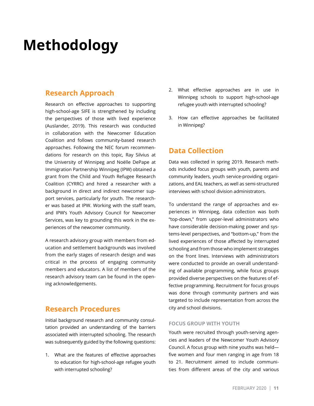# <span id="page-10-0"></span>**Methodology**

## **Research Approach**

Research on effective approaches to supporting high-school-age SIFE is strengthened by including the perspectives of those with lived experience (Auslander, 2019). This research was conducted in collaboration with the Newcomer Education Coalition and follows community-based research approaches. Following the NEC forum recommendations for research on this topic, Ray Silvius at the University of Winnipeg and Noëlle DePape at Immigration Partnership Winnipeg (IPW) obtained a grant from the Child and Youth Refugee Research Coalition (CYRRC) and hired a researcher with a background in direct and indirect newcomer support services, particularly for youth. The researcher was based at IPW. Working with the staff team, and IPW's Youth Advisory Council for Newcomer Services, was key to grounding this work in the experiences of the newcomer community.

A research advisory group with members from education and settlement backgrounds was involved from the early stages of research design and was critical in the process of engaging community members and educators. A list of members of the research advisory team can be found in the opening acknowledgements.

## **Research Procedures**

Initial background research and community consultation provided an understanding of the barriers associated with interrupted schooling. The research was subsequently guided by the following questions:

1. What are the features of effective approaches to education for high-school-age refugee youth with interrupted schooling?

- 2. What effective approaches are in use in Winnipeg schools to support high-school-age refugee youth with interrupted schooling?
- 3. How can effective approaches be facilitated in Winnipeg?

## **Data Collection**

Data was collected in spring 2019. Research methods included focus groups with youth, parents and community leaders, youth service-providing organizations, and EAL teachers, as well as semi-structured interviews with school division administrators.

To understand the range of approaches and experiences in Winnipeg, data collection was both "top-down," from upper-level administrators who have considerable decision-making power and systems-level perspectives, and "bottom-up," from the lived experiences of those affected by interrupted schooling and from those who implement strategies on the front lines. Interviews with administrators were conducted to provide an overall understanding of available programming, while focus groups provided diverse perspectives on the features of effective programming. Recruitment for focus groups was done through community partners and was targeted to include representation from across the city and school divisions.

#### **FOCUS GROUP WITH YOUTH**

Youth were recruited through youth-serving agencies and leaders of the Newcomer Youth Advisory Council. A focus group with nine youths was held five women and four men ranging in age from 18 to 21. Recruitment aimed to include communities from different areas of the city and various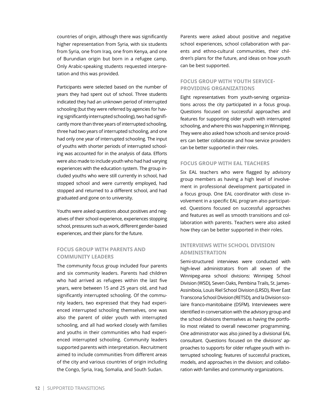countries of origin, although there was significantly higher representation from Syria, with six students from Syria, one from Iraq, one from Kenya, and one of Burundian origin but born in a refugee camp. Only Arabic-speaking students requested interpretation and this was provided.

Participants were selected based on the number of years they had spent out of school. Three students indicated they had an unknown period of interrupted schooling (but they were referred by agencies for having significantly interrupted schooling), two had significantly more than three years of interrupted schooling, three had two years of interrupted schooling, and one had only one year of interrupted schooling. The input of youths with shorter periods of interrupted schooling was accounted for in the analysis of data. Efforts were also made to include youth who had had varying experiences with the education system. The group included youths who were still currently in school, had stopped school and were currently employed, had stopped and returned to a different school, and had graduated and gone on to university.

Youths were asked questions about positives and negatives of their school experience, experiences stopping school, pressures such as work, different gender-based experiences, and their plans for the future.

### **FOCUS GROUP WITH PARENTS AND COMMUNITY LEADERS**

The community focus group included four parents and six community leaders. Parents had children who had arrived as refugees within the last five years, were between 15 and 25 years old, and had significantly interrupted schooling. Of the community leaders, two expressed that they had experienced interrupted schooling themselves, one was also the parent of older youth with interrupted schooling, and all had worked closely with families and youths in their communities who had experienced interrupted schooling. Community leaders supported parents with interpretation. Recruitment aimed to include communities from different areas of the city and various countries of origin including the Congo, Syria, Iraq, Somalia, and South Sudan.

Parents were asked about positive and negative school experiences, school collaboration with parents and ethno-cultural communities, their children's plans for the future, and ideas on how youth can be best supported.

### **FOCUS GROUP WITH YOUTH SERVICE-PROVIDING ORGANIZATIONS**

Eight representatives from youth-serving organizations across the city participated in a focus group. Questions focused on successful approaches and features for supporting older youth with interrupted schooling, and where this was happening in Winnipeg. They were also asked how schools and service providers can better collaborate and how service providers can be better supported in their roles.

#### **FOCUS GROUP WITH EAL TEACHERS**

Six EAL teachers who were flagged by advisory group members as having a high level of involvement in professional development participated in a focus group. One EAL coordinator with close involvement in a specific EAL program also participated. Questions focused on successful approaches and features as well as smooth transitions and collaboration with parents. Teachers were also asked how they can be better supported in their roles.

### **INTERVIEWS WITH SCHOOL DIVISION ADMINISTRATION**

Semi-structured interviews were conducted with high-level administrators from all seven of the Winnipeg-area school divisions: Winnipeg School Division (WSD), Seven Oaks, Pembina Trails, St. James-Assiniboia, Louis Riel School Division (LRSD), River East Transcona School Division (RETSD), and la Division scolaire franco-manitobaine (DSFM). Interviewees were identified in conversation with the advisory group and the school divisions themselves as having the portfolio most related to overall newcomer programming. One administrator was also joined by a divisional EAL consultant. Questions focused on the divisions' approaches to supports for older refugee youth with interrupted schooling; features of successful practices, models, and approaches in the division; and collaboration with families and community organizations.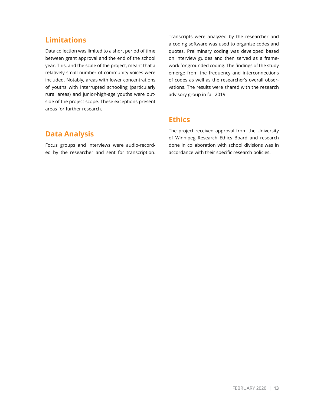## **Limitations**

Data collection was limited to a short period of time between grant approval and the end of the school year. This, and the scale of the project, meant that a relatively small number of community voices were included. Notably, areas with lower concentrations of youths with interrupted schooling (particularly rural areas) and junior-high-age youths were outside of the project scope. These exceptions present areas for further research.

Transcripts were analyzed by the researcher and a coding software was used to organize codes and quotes. Preliminary coding was developed based on interview guides and then served as a framework for grounded coding. The findings of the study emerge from the frequency and interconnections of codes as well as the researcher's overall observations. The results were shared with the research advisory group in fall 2019.

## **Ethics**

## **Data Analysis**

Focus groups and interviews were audio-recorded by the researcher and sent for transcription. The project received approval from the University of Winnipeg Research Ethics Board and research done in collaboration with school divisions was in accordance with their specific research policies.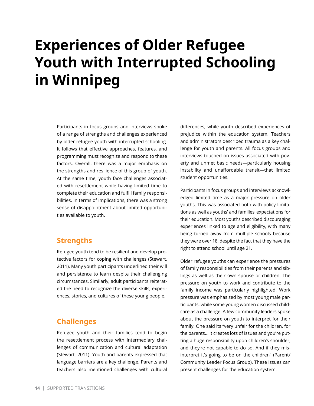# <span id="page-13-0"></span>**Experiences of Older Refugee Youth with Interrupted Schooling in Winnipeg**

Participants in focus groups and interviews spoke of a range of strengths and challenges experienced by older refugee youth with interrupted schooling. It follows that effective approaches, features, and programming must recognize and respond to these factors. Overall, there was a major emphasis on the strengths and resilience of this group of youth. At the same time, youth face challenges associated with resettlement while having limited time to complete their education and fulfill family responsibilities. In terms of implications, there was a strong sense of disappointment about limited opportunities available to youth.

## **Strengths**

Refugee youth tend to be resilient and develop protective factors for coping with challenges (Stewart, 2011). Many youth participants underlined their will and persistence to learn despite their challenging circumstances. Similarly, adult participants reiterated the need to recognize the diverse skills, experiences, stories, and cultures of these young people.

## **Challenges**

Refugee youth and their families tend to begin the resettlement process with intermediary challenges of communication and cultural adaptation (Stewart, 2011). Youth and parents expressed that language barriers are a key challenge. Parents and teachers also mentioned challenges with cultural differences, while youth described experiences of prejudice within the education system. Teachers and administrators described trauma as a key challenge for youth and parents. All focus groups and interviews touched on issues associated with poverty and unmet basic needs—particularly housing instability and unaffordable transit—that limited student opportunities.

Participants in focus groups and interviews acknowledged limited time as a major pressure on older youths. This was associated both with policy limitations as well as youths' and families' expectations for their education. Most youths described discouraging experiences linked to age and eligibility, with many being turned away from multiple schools because they were over 18, despite the fact that they have the right to attend school until age 21.

Older refugee youths can experience the pressures of family responsibilities from their parents and siblings as well as their own spouse or children. The pressure on youth to work and contribute to the family income was particularly highlighted. Work pressure was emphasized by most young male participants, while some young women discussed childcare as a challenge. A few community leaders spoke about the pressure on youth to interpret for their family. One said its "very unfair for the children, for the parents… it creates lots of issues and you're putting a huge responsibility upon children's shoulder, and they're not capable to do so. And if they misinterpret it's going to be on the children" (Parent/ Community Leader Focus Group). These issues can present challenges for the education system.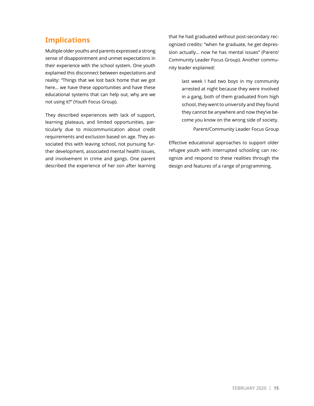## **Implications**

Multiple older youths and parents expressed a strong sense of disappointment and unmet expectations in their experience with the school system. One youth explained this disconnect between expectations and reality: "Things that we lost back home that we got here… we have these opportunities and have these educational systems that can help out, why are we not using it?" (Youth Focus Group).

They described experiences with lack of support, learning plateaus, and limited opportunities, particularly due to miscommunication about credit requirements and exclusion based on age. They associated this with leaving school, not pursuing further development, associated mental health issues, and involvement in crime and gangs. One parent described the experience of her son after learning that he had graduated without post-secondary recognized credits: "when he graduate, he get depression actually… now he has mental issues" (Parent/ Community Leader Focus Group). Another community leader explained:

> last week I had two boys in my community arrested at night because they were involved in a gang, both of them graduated from high school, they went to university and they found they cannot be anywhere and now they've become you know on the wrong side of society. Parent/Community Leader Focus Group

Effective educational approaches to support older refugee youth with interrupted schooling can recognize and respond to these realities through the design and features of a range of programming.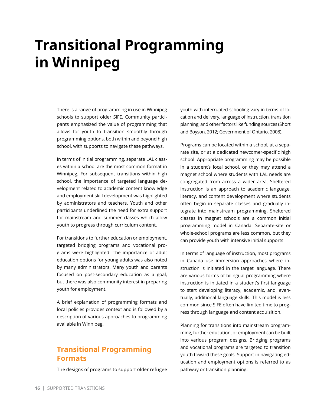# <span id="page-15-0"></span>**Transitional Programming in Winnipeg**

There is a range of programming in use in Winnipeg schools to support older SIFE. Community participants emphasized the value of programming that allows for youth to transition smoothly through programming options, both within and beyond high school, with supports to navigate these pathways.

In terms of initial programming, separate LAL classes within a school are the most common format in Winnipeg. For subsequent transitions within high school, the importance of targeted language development related to academic content knowledge and employment skill development was highlighted by administrators and teachers. Youth and other participants underlined the need for extra support for mainstream and summer classes which allow youth to progress through curriculum content.

For transitions to further education or employment, targeted bridging programs and vocational programs were highlighted. The importance of adult education options for young adults was also noted by many administrators. Many youth and parents focused on post-secondary education as a goal, but there was also community interest in preparing youth for employment.

A brief explanation of programming formats and local policies provides context and is followed by a description of various approaches to programming available in Winnipeg.

## **Transitional Programming Formats**

The designs of programs to support older refugee

youth with interrupted schooling vary in terms of location and delivery, language of instruction, transition planning, and other factors like funding sources (Short and Boyson, 2012; Government of Ontario, 2008).

Programs can be located within a school, at a separate site, or at a dedicated newcomer-specific high school. Appropriate programming may be possible in a student's local school, or they may attend a magnet school where students with LAL needs are congregated from across a wider area. Sheltered instruction is an approach to academic language, literacy, and content development where students often begin in separate classes and gradually integrate into mainstream programming. Sheltered classes in magnet schools are a common initial programming model in Canada. Separate-site or whole-school programs are less common, but they can provide youth with intensive initial supports.

In terms of language of instruction, most programs in Canada use immersion approaches where instruction is initiated in the target language. There are various forms of bilingual programming where instruction is initiated in a student's first language to start developing literacy, academic, and, eventually, additional language skills. This model is less common since SIFE often have limited time to progress through language and content acquisition.

Planning for transitions into mainstream programming, further education, or employment can be built into various program designs. Bridging programs and vocational programs are targeted to transition youth toward these goals. Support in navigating education and employment options is referred to as pathway or transition planning.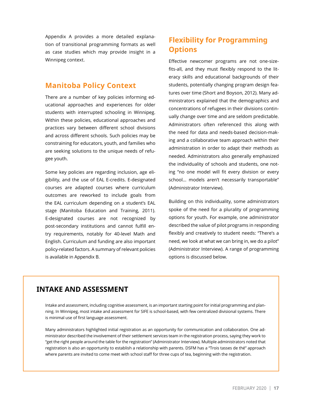Appendix A provides a more detailed explanation of transitional programming formats as well as case studies which may provide insight in a Winnipeg context.

## **Manitoba Policy Context**

There are a number of key policies informing educational approaches and experiences for older students with interrupted schooling in Winnipeg. Within these policies, educational approaches and practices vary between different school divisions and across different schools. Such policies may be constraining for educators, youth, and families who are seeking solutions to the unique needs of refugee youth.

Some key policies are regarding inclusion, age eligibility, and the use of EAL E-credits. E-designated courses are adapted courses where curriculum outcomes are reworked to include goals from the EAL curriculum depending on a student's EAL stage (Manitoba Education and Training, 2011). E-designated courses are not recognized by post-secondary institutions and cannot fulfill entry requirements, notably for 40-level Math and English. Curriculum and funding are also important policy-related factors. A summary of relevant policies is available in Appendix B.

# **Flexibility for Programming Options**

Effective newcomer programs are not one-sizefits-all, and they must flexibly respond to the literacy skills and educational backgrounds of their students, potentially changing program design features over time (Short and Boyson, 2012). Many administrators explained that the demographics and concentrations of refugees in their divisions continually change over time and are seldom predictable. Administrators often referenced this along with the need for data and needs-based decision-making and a collaborative team approach within their administration in order to adapt their methods as needed. Administrators also generally emphasized the individuality of schools and students, one noting "no one model will fit every division or every school... models aren't necessarily transportable" (Administrator Interview).

Building on this individuality, some administrators spoke of the need for a plurality of programming options for youth. For example, one administrator described the value of pilot programs in responding flexibly and creatively to student needs: "There's a need, we look at what we can bring in, we do a pilot" (Administrator Interview). A range of programming options is discussed below.

## **INTAKE AND ASSESSMENT**

Intake and assessment, including cognitive assessment, is an important starting point for initial programming and planning. In Winnipeg, most intake and assessment for SIFE is school-based, with few centralized divisional systems. There is minimal use of first language assessment.

Many administrators highlighted initial registration as an opportunity for communication and collaboration. One administrator described the involvement of their settlement services team in the registration process, saying they work to "get the right people around the table for the registration" (Administrator Interview). Multiple administrators noted that registration is also an opportunity to establish a relationship with parents. DSFM has a "Trois tasses de thé" approach where parents are invited to come meet with school staff for three cups of tea, beginning with the registration.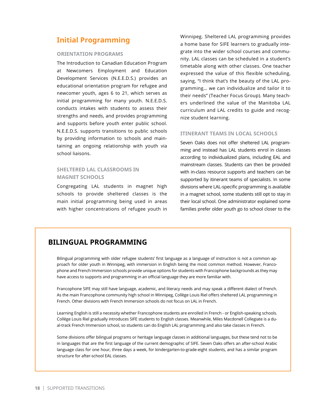## **Initial Programming**

#### **ORIENTATION PROGRAMS**

The Introduction to Canadian Education Program at Newcomers Employment and Education Development Services (N.E.E.D.S.) provides an educational orientation program for refugee and newcomer youth, ages 6 to 21, which serves as initial programming for many youth. N.E.E.D.S. conducts intakes with students to assess their strengths and needs, and provides programming and supports before youth enter public school. N.E.E.D.S. supports transitions to public schools by providing information to schools and maintaining an ongoing relationship with youth via school liaisons.

### **SHELTERED LAL CLASSROOMS IN MAGNET SCHOOLS**

Congregating LAL students in magnet high schools to provide sheltered classes is the main initial programming being used in areas with higher concentrations of refugee youth in

Winnipeg. Sheltered LAL programming provides a home base for SIFE learners to gradually integrate into the wider school courses and community. LAL classes can be scheduled in a student's timetable along with other classes. One teacher expressed the value of this flexible scheduling, saying, "I think that's the beauty of the LAL programming… we can individualize and tailor it to their needs" (Teacher Focus Group). Many teachers underlined the value of the Manitoba LAL curriculum and LAL credits to guide and recognize student learning.

#### **ITINERANT TEAMS IN LOCAL SCHOOLS**

Seven Oaks does not offer sheltered LAL programming and instead has LAL students enrol in classes according to individualized plans, including EAL and mainstream classes. Students can then be provided with in-class resource supports and teachers can be supported by itinerant teams of specialists. In some divisions where LAL-specific programming is available in a magnet school, some students still opt to stay in their local school. One administrator explained some families prefer older youth go to school closer to the

## **BILINGUAL PROGRAMMING**

Bilingual programming with older refugee students' first language as a language of instruction is not a common approach for older youth in Winnipeg, with immersion in English being the most common method. However, Francophone and French Immersion schools provide unique options for students with Francophone backgrounds as they may have access to supports and programming in an official language they are more familiar with.

Francophone SIFE may still have language, academic, and literacy needs and may speak a different dialect of French. As the main Francophone community high school in Winnipeg, Collège Louis Riel offers sheltered LAL programming in French. Other divisions with French Immersion schools do not focus on LAL in French.

Learning English is still a necessity whether Francophone students are enrolled in French - or English-speaking schools. Collège Louis Riel gradually introduces SIFE students to English classes. Meanwhile, Miles Macdonell Collegiate is a dual-track French Immersion school, so students can do English LAL programming and also take classes in French.

Some divisions offer bilingual programs or heritage language classes in additional languages, but these tend not to be in languages that are the first language of the current demographic of SIFE. Seven Oaks offers an after-school Arabic language class for one hour, three days a week, for kindergarten-to-grade-eight students, and has a similar program structure for after-school EAL classes.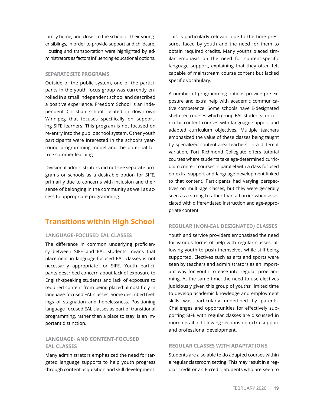family home, and closer to the school of their younger siblings, in order to provide support and childcare. Housing and transportation were highlighted by administrators as factors influencing educational options.

#### **SEPARATE SITE PROGRAMS**

Outside of the public system, one of the participants in the youth focus group was currently enrolled in a small independent school and described a positive experience. Freedom School is an independent Christian school located in downtown Winnipeg that focuses specifically on supporting SIFE learners. This program is not focused on re-entry into the public school system. Other youth participants were interested in the school's yearround programming model and the potential for free summer learning.

Divisional administrators did not see separate programs or schools as a desirable option for SIFE, primarily due to concerns with inclusion and their sense of belonging in the community as well as access to appropriate programming.

## **Transitions within High School**

#### **LANGUAGE-FOCUSED EAL CLASSES**

The difference in common underlying proficiency between SIFE and EAL students means that placement in language-focused EAL classes is not necessarily appropriate for SIFE. Youth participants described concern about lack of exposure to English-speaking students and lack of exposure to required content from being placed almost fully in language-focused EAL classes. Some described feelings of stagnation and hopelessness. Positioning language-focused EAL classes as part of transitional programming, rather than a place to stay, is an important distinction.

### **LANGUAGE- AND CONTENT-FOCUSED EAL CLASSES**

Many administrators emphasized the need for targeted language supports to help youth progress through content acquisition and skill development.

This is particularly relevant due to the time pressures faced by youth and the need for them to obtain required credits. Many youths placed similar emphasis on the need for content-specific language support, explaining that they often felt capable of mainstream course content but lacked specific vocabulary.

A number of programming options provide pre-exposure and extra help with academic communicative competence. Some schools have E-designated sheltered courses which group EAL students for curricular content courses with language support and adapted curriculum objectives. Multiple teachers emphasized the value of these classes being taught by specialized content-area teachers. In a different variation, Fort Richmond Collegiate offers tutorial courses where students take age-determined curriculum content courses in parallel with a class focused on extra support and language development linked to that content. Participants had varying perspectives on multi-age classes, but they were generally seen as a strength rather than a barrier when associated with differentiated instruction and age-appropriate content.

#### **REGULAR (NON-EAL DESIGNATED) CLASSES**

Youth and service providers emphasized the need for various forms of help with regular classes, allowing youth to push themselves while still being supported. Electives such as arts and sports were seen by teachers and administrators as an important way for youth to ease into regular programming. At the same time, the need to use electives judiciously given this group of youths' limited time to develop academic knowledge and employment skills was particularly underlined by parents. Challenges and opportunities for effectively supporting SIFE with regular classes are discussed in more detail in following sections on extra support and professional development.

#### **REGULAR CLASSES WITH ADAPTATIONS**

Students are also able to do adapted courses within a regular classroom setting. This may result in a regular credit or an E-credit. Students who are seen to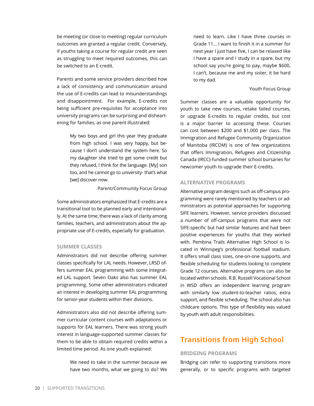be meeting (or close to meeting) regular curriculum outcomes are granted a regular credit. Conversely, if youths taking a course for regular credit are seen as struggling to meet required outcomes, this can be switched to an E-credit.

Parents and some service providers described how a lack of consistency and communication around the use of E-credits can lead to misunderstandings and disappointment. For example, E-credits not being sufficient pre-requisites for acceptance into university programs can be surprising and disheartening for families, as one parent illustrated:

> My two boys and girl this year they graduate from high school. I was very happy, but because I don't understand the system here. So my daughter she tried to get some credit but they refused, I think for the language. [My] son too, and he cannot go to university- that's what [we] discover now.

> > Parent/Community Focus Group

Some administrators emphasized that E-credits are a transitional tool to be planned early and intentionally. At the same time, there was a lack of clarity among families, teachers, and administrators about the appropriate use of E-credits, especially for graduation.

#### **SUMMER CLASSES**

Administrators did not describe offering summer classes specifically for LAL needs. However, LRSD offers summer EAL programming with some integrated LAL support. Seven Oaks also has summer EAL programming. Some other administrators indicated an interest in developing summer EAL programming for senior-year students within their divisions.

Administrators also did not describe offering summer curricular content courses with adaptations or supports for EAL learners. There was strong youth interest in language-supported summer classes for them to be able to obtain required credits within a limited time period. As one youth explained:

> We need to take in the summer because we have two months, what we going to do? We

need to learn. Like I have three courses in Grade 11… I want to finish it in a summer for next year I just have five, I can be relaxed like I have a spare and I study in a spare, but my school say you're going to pay, maybe \$600, I can't, because me and my sister, it be hard to my dad.

#### Youth Focus Group

Summer classes are a valuable opportunity for youth to take new courses, retake failed courses, or upgrade E-credits to regular credits, but cost is a major barrier to accessing these. Courses can cost between \$200 and \$1,000 per class. The Immigration and Refugee Community Organization of Manitoba (IRCOM) is one of few organizations that offers Immigration, Refugees and Citizenship Canada (IRCC)-funded summer school bursaries for newcomer youth to upgrade their E-credits.

#### **ALTERNATIVE PROGRAMS**

Alternative program designs such as off-campus programming were rarely mentioned by teachers or administrators as potential approaches for supporting SIFE learners. However, service providers discussed a number of off-campus programs that were not SIFE-specific but had similar features and had been positive experiences for youths that they worked with. Pembina Trails Alternative High School is located in Winnipeg's professional football stadium. It offers small class sizes, one-on-one supports, and flexible scheduling for students looking to complete Grade 12 courses. Alternative programs can also be located within schools. R.B. Russell Vocational School in WSD offers an independent learning program with similarly low student-to-teacher ratios, extra support, and flexible scheduling. The school also has childcare options. This type of flexibility was valued by youth with adult responsibilities.

## **Transitions from High School**

#### **BRIDGING PROGRAMS**

Bridging can refer to supporting transitions more generally, or to specific programs with targeted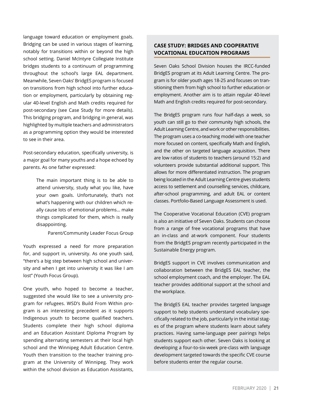language toward education or employment goals. Bridging can be used in various stages of learning, notably for transitions within or beyond the high school setting. Daniel McIntyre Collegiate Institute bridges students to a continuum of programming throughout the school's large EAL department. Meanwhile, Seven Oaks' BridgES program is focused on transitions from high school into further education or employment, particularly by obtaining regular 40-level English and Math credits required for post-secondary (see Case Study for more details). This bridging program, and bridging in general, was highlighted by multiple teachers and administrators as a programming option they would be interested to see in their area.

Post-secondary education, specifically university, is a major goal for many youths and a hope echoed by parents. As one father expressed:

> The main important thing is to be able to attend university, study what you like, have your own goals. Unfortunately, that's not what's happening with our children which really cause lots of emotional problems… make things complicated for them, which is really disappointing.

> > Parent/Community Leader Focus Group

Youth expressed a need for more preparation for, and support in, university. As one youth said, "there's a big step between high school and university and when I get into university it was like I am lost" (Youth Focus Group).

One youth, who hoped to become a teacher, suggested she would like to see a university program for refugees. WSD's Build From Within program is an interesting precedent as it supports Indigenous youth to become qualified teachers. Students complete their high school diploma and an Education Assistant Diploma Program by spending alternating semesters at their local high school and the Winnipeg Adult Education Centre. Youth then transition to the teacher training program at the University of Winnipeg. They work within the school division as Education Assistants,

### **CASE STUDY: BRIDGES AND COOPERATIVE VOCATIONAL EDUCATION PROGRAMS**

Seven Oaks School Division houses the IRCC-funded BridgES program at its Adult Learning Centre. The program is for older youth ages 18-25 and focuses on transitioning them from high school to further education or employment. Another aim is to attain regular 40-level Math and English credits required for post-secondary.

The BridgES program runs four half-days a week, so youth can still go to their community high schools, the Adult Learning Centre, and work or other responsibilities. The program uses a co-teaching model with one teacher more focused on content, specifically Math and English, and the other on targeted language acquisition. There are low ratios of students to teachers (around 15:2) and volunteers provide substantial additional support. This allows for more differentiated instruction. The program being located in the Adult Learning Centre gives students access to settlement and counselling services, childcare, after-school programming, and adult EAL or content classes. Portfolio-Based Language Assessment is used.

The Cooperative Vocational Education (CVE) program is also an initiative of Seven Oaks. Students can choose from a range of free vocational programs that have an in-class and at-work component. Four students from the BridgES program recently participated in the Sustainable Energy program.

BridgES support in CVE involves communication and collaboration between the BridgES EAL teacher, the school employment coach, and the employer. The EAL teacher provides additional support at the school and the workplace.

The BridgES EAL teacher provides targeted language support to help students understand vocabulary specifically related to the job, particularly in the initial stages of the program where students learn about safety practices. Having same-language peer pairings helps students support each other. Seven Oaks is looking at developing a four-to-six-week pre-class with language development targeted towards the specific CVE course before students enter the regular course.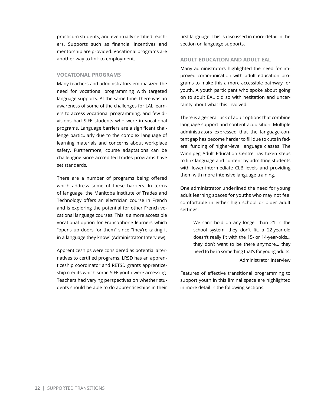practicum students, and eventually certified teachers. Supports such as financial incentives and mentorship are provided. Vocational programs are another way to link to employment.

#### **VOCATIONAL PROGRAMS**

Many teachers and administrators emphasized the need for vocational programming with targeted language supports. At the same time, there was an awareness of some of the challenges for LAL learners to access vocational programming, and few divisions had SIFE students who were in vocational programs. Language barriers are a significant challenge particularly due to the complex language of learning materials and concerns about workplace safety. Furthermore, course adaptations can be challenging since accredited trades programs have set standards.

There are a number of programs being offered which address some of these barriers. In terms of language, the Manitoba Institute of Trades and Technology offers an electrician course in French and is exploring the potential for other French vocational language courses. This is a more accessible vocational option for Francophone learners which "opens up doors for them" since "they're taking it in a language they know" (Administrator Interview).

Apprenticeships were considered as potential alternatives to certified programs. LRSD has an apprenticeship coordinator and RETSD grants apprenticeship credits which some SIFE youth were accessing. Teachers had varying perspectives on whether students should be able to do apprenticeships in their first language. This is discussed in more detail in the section on language supports.

#### **ADULT EDUCATION AND ADULT EAL**

Many administrators highlighted the need for improved communication with adult education programs to make this a more accessible pathway for youth. A youth participant who spoke about going on to adult EAL did so with hesitation and uncertainty about what this involved.

There is a general lack of adult options that combine language support and content acquisition. Multiple administrators expressed that the language-content gap has become harder to fill due to cuts in federal funding of higher-level language classes. The Winnipeg Adult Education Centre has taken steps to link language and content by admitting students with lower-intermediate CLB levels and providing them with more intensive language training.

One administrator underlined the need for young adult learning spaces for youths who may not feel comfortable in either high school or older adult settings:

> We can't hold on any longer than 21 in the school system, they don't fit, a 22-year-old doesn't really fit with the 15- or 14-year-olds... they don't want to be there anymore... they need to be in something that's for young adults.

#### Administrator Interview

Features of effective transitional programming to support youth in this liminal space are highlighted in more detail in the following sections.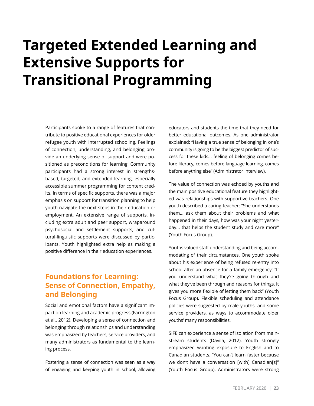# <span id="page-22-0"></span>**Targeted Extended Learning and Extensive Supports for Transitional Programming**

Participants spoke to a range of features that contribute to positive educational experiences for older refugee youth with interrupted schooling. Feelings of connection, understanding, and belonging provide an underlying sense of support and were positioned as preconditions for learning. Community participants had a strong interest in strengthsbased, targeted, and extended learning, especially accessible summer programming for content credits. In terms of specific supports, there was a major emphasis on support for transition planning to help youth navigate the next steps in their education or employment. An extensive range of supports, including extra adult and peer support, wraparound psychosocial and settlement supports, and cultural-linguistic supports were discussed by participants. Youth highlighted extra help as making a positive difference in their education experiences.

## **Foundations for Learning: Sense of Connection, Empathy, and Belonging**

Social and emotional factors have a significant impact on learning and academic progress (Farrington et al., 2012). Developing a sense of connection and belonging through relationships and understanding was emphasized by teachers, service providers, and many administrators as fundamental to the learning process.

Fostering a sense of connection was seen as a way of engaging and keeping youth in school, allowing educators and students the time that they need for better educational outcomes. As one administrator explained: "Having a true sense of belonging in one's community is going to be the biggest predictor of success for these kids… feeling of belonging comes before literacy, comes before language learning, comes before anything else" (Administrator Interview).

The value of connection was echoed by youths and the main positive educational feature they highlighted was relationships with supportive teachers. One youth described a caring teacher: "She understands them… ask them about their problems and what happened in their days, how was your night yesterday… that helps the student study and care more" (Youth Focus Group).

Youths valued staff understanding and being accommodating of their circumstances. One youth spoke about his experience of being refused re-entry into school after an absence for a family emergency: "If you understand what they're going through and what they've been through and reasons for things, it gives you more flexible of letting them back" (Youth Focus Group). Flexible scheduling and attendance policies were suggested by male youths, and some service providers, as ways to accommodate older youths' many responsibilities.

SIFE can experience a sense of isolation from mainstream students (Davila, 2012). Youth strongly emphasized wanting exposure to English and to Canadian students. "You can't learn faster because we don't have a conversation [with] Canadian[s]" (Youth Focus Group). Administrators were strong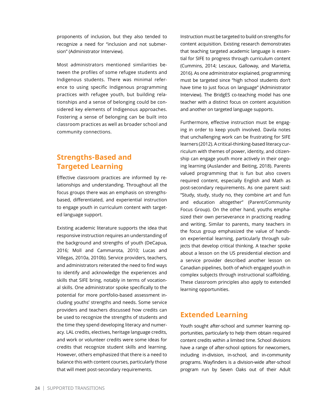proponents of inclusion, but they also tended to recognize a need for "inclusion and not submersion" (Administrator Interview).

Most administrators mentioned similarities between the profiles of some refugee students and Indigenous students. There was minimal reference to using specific Indigenous programming practices with refugee youth, but building relationships and a sense of belonging could be considered key elements of Indigenous approaches. Fostering a sense of belonging can be built into classroom practices as well as broader school and community connections.

## **Strengths-Based and Targeted Learning**

Effective classroom practices are informed by relationships and understanding. Throughout all the focus groups there was an emphasis on strengthsbased, differentiated, and experiential instruction to engage youth in curriculum content with targeted language support.

Existing academic literature supports the idea that responsive instruction requires an understanding of the background and strengths of youth (DeCapua, 2016; Moll and Cammarota, 2010; Lucas and Villegas, 2010a, 2010b). Service providers, teachers, and administrators reiterated the need to find ways to identify and acknowledge the experiences and skills that SIFE bring, notably in terms of vocational skills. One administrator spoke specifically to the potential for more portfolio-based assessment including youths' strengths and needs. Some service providers and teachers discussed how credits can be used to recognize the strengths of students and the time they spend developing literacy and numeracy. LAL credits, electives, heritage language credits, and work or volunteer credits were some ideas for credits that recognize student skills and learning. However, others emphasized that there is a need to balance this with content courses, particularly those that will meet post-secondary requirements.

Instruction must be targeted to build on strengths for content acquisition. Existing research demonstrates that teaching targeted academic language is essential for SIFE to progress through curriculum content (Cummins, 2014; Lescaux, Galloway, and Marietta, 2016). As one administrator explained, programming must be targeted since "high school students don't have time to just focus on language" (Administrator Interview). The BridgES co-teaching model has one teacher with a distinct focus on content acquisition and another on targeted language supports.

Furthermore, effective instruction must be engaging in order to keep youth involved. Davila notes that unchallenging work can be frustrating for SIFE learners (2012). A critical-thinking-based literacy curriculum with themes of power, identity, and citizenship can engage youth more actively in their ongoing learning (Auslander and Beiting, 2018). Parents valued programming that is fun but also covers required content, especially English and Math as post-secondary requirements. As one parent said: "Study, study, study no, they combine art and fun and education altogether" (Parent/Community Focus Group). On the other hand, youths emphasized their own perseverance in practicing reading and writing. Similar to parents, many teachers in the focus group emphasized the value of handson experiential learning, particularly through subjects that develop critical thinking. A teacher spoke about a lesson on the US presidential election and a service provider described another lesson on Canadian pipelines, both of which engaged youth in complex subjects through instructional scaffolding. These classroom principles also apply to extended learning opportunities.

## **Extended Learning**

Youth sought after-school and summer learning opportunities, particularly to help them obtain required content credits within a limited time. School divisions have a range of after-school options for newcomers, including in-division, in-school, and in-community programs. Wayfinders is a division-wide after-school program run by Seven Oaks out of their Adult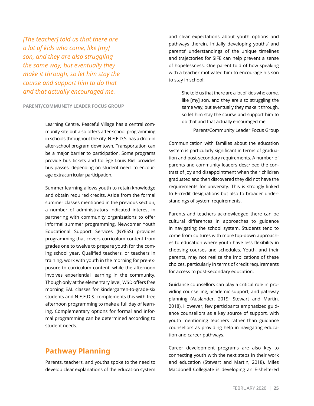*[The teacher] told us that there are a lot of kids who come, like [my] son, and they are also struggling the same way, but eventually they make it through, so let him stay the course and support him to do that and that actually encouraged me.* 

#### **PARENT/COMMUNITY LEADER FOCUS GROUP**

Learning Centre. Peaceful Village has a central community site but also offers after-school programming in schools throughout the city. N.E.E.D.S. has a drop-in after-school program downtown. Transportation can be a major barrier to participation. Some programs provide bus tickets and Collège Louis Riel provides bus passes, depending on student need, to encourage extracurricular participation.

Summer learning allows youth to retain knowledge and obtain required credits. Aside from the formal summer classes mentioned in the previous section, a number of administrators indicated interest in partnering with community organizations to offer informal summer programming. Newcomer Youth Educational Support Services (NYESS) provides programming that covers curriculum content from grades one to twelve to prepare youth for the coming school year. Qualified teachers, or teachers in training, work with youth in the morning for pre-exposure to curriculum content, while the afternoon involves experiential learning in the community. Though only at the elementary level, WSD offers free morning EAL classes for kindergarten-to-grade-six students and N.E.E.D.S. complements this with free afternoon programming to make a full day of learning. Complementary options for formal and informal programming can be determined according to student needs.

## **Pathway Planning**

Parents, teachers, and youths spoke to the need to develop clear explanations of the education system and clear expectations about youth options and pathways therein. Initially developing youths' and parents' understandings of the unique timelines and trajectories for SIFE can help prevent a sense of hopelessness. One parent told of how speaking with a teacher motivated him to encourage his son to stay in school:

> She told us that there are a lot of kids who come, like [my] son, and they are also struggling the same way, but eventually they make it through, so let him stay the course and support him to do that and that actually encouraged me.

> > Parent/Community Leader Focus Group

Communication with families about the education system is particularly significant in terms of graduation and post-secondary requirements. A number of parents and community leaders described the contrast of joy and disappointment when their children graduated and then discovered they did not have the requirements for university. This is strongly linked to E-credit designations but also to broader understandings of system requirements.

Parents and teachers acknowledged there can be cultural differences in approaches to guidance in navigating the school system. Students tend to come from cultures with more top-down approaches to education where youth have less flexibility in choosing courses and schedules. Youth, and their parents, may not realize the implications of these choices, particularly in terms of credit requirements for access to post-secondary education.

Guidance counsellors can play a critical role in providing counselling, academic support, and pathway planning (Auslander, 2019; Stewart and Martin, 2018). However, few participants emphasized guidance counsellors as a key source of support, with youth mentioning teachers rather than guidance counsellors as providing help in navigating education and career pathways.

Career development programs are also key to connecting youth with the next steps in their work and education (Stewart and Martin, 2018). Miles Macdonell Collegiate is developing an E-sheltered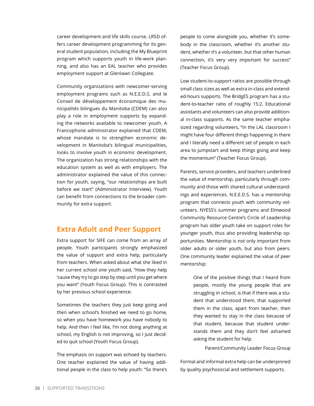career development and life skills course. LRSD offers career development programming for its general student population, including the My Blueprint program which supports youth in life-work planning, and also has an EAL teacher who provides employment support at Glenlawn Collegiate.

Community organizations with newcomer-serving employment programs such as N.E.E.D.S. and le Conseil de développement économique des municipalités bilingues du Manitoba (CDEM) can also play a role in employment supports by expanding the networks available to newcomer youth. A Francophone administrator explained that CDEM, whose mandate is to strengthen economic development in Manitoba's bilingual municipalities, looks to involve youth in economic development. The organization has strong relationships with the education system as well as with employers. The administrator explained the value of this connection for youth, saying, "our relationships are built before we start" (Administrator Interview). Youth can benefit from connections to the broader community for extra support.

## **Extra Adult and Peer Support**

Extra support for SIFE can come from an array of people. Youth participants strongly emphasized the value of support and extra help, particularly from teachers. When asked about what she liked in her current school one youth said, "How they help 'cause they try to go step by step until you get where you want" (Youth Focus Group). This is contrasted by her previous school experience:

Sometimes the teachers they just keep going and then when school's finished we need to go home, so when you have homework you have nobody to help. And then I feel like, I'm not doing anything at school, my English is not improving, so I just decided to quit school (Youth Focus Group).

The emphasis on support was echoed by teachers. One teacher explained the value of having additional people in the class to help youth: "So there's people to come alongside you, whether it's somebody in the classroom, whether it's another student, whether it's a volunteer, but that other human connection, it's very very important for success" (Teacher Focus Group).

Low student-to-support ratios are possible through small class sizes as well as extra in-class and extended-hours supports. The BridgES program has a student-to-teacher ratio of roughly 15:2. Educational assistants and volunteers can also provide additional in-class supports. As the same teacher emphasized regarding volunteers, "In the LAL classroom I might have four different things happening in there and I literally need a different set of people in each area to jumpstart and keep things going and keep the momentum" (Teacher Focus Group).

Parents, service providers, and teachers underlined the value of mentorship, particularly through community and those with shared cultural understandings and experiences. N.E.E.D.S. has a mentorship program that connects youth with community volunteers. NYESS's summer programs and Elmwood Community Resource Centre's Circle of Leadership program has older youth take on support roles for younger youth, thus also providing leadership opportunities. Mentorship is not only important from older adults or older youth, but also from peers. One community leader explained the value of peer mentorship:

> One of the positive things that I heard from people, mostly the young people that are struggling in school, is that if there was a student that understood them, that supported them in the class, apart from teacher, then they wanted to stay in the class because of that student, because that student understands them and they don't feel ashamed asking the student for help.

> > Parent/Community Leader Focus Group

Formal and informal extra help can be underpinned by quality psychosocial and settlement supports.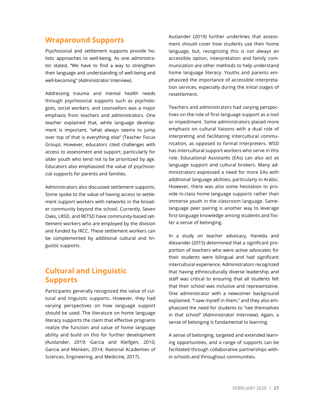## **Wraparound Supports**

Psychosocial and settlement supports provide holistic approaches to well-being. As one administrator stated, "We have to find a way to strengthen their language and understanding of well-being and well-becoming" (Administrator Interview).

Addressing trauma and mental health needs through psychosocial supports such as psychologists, social workers, and counsellors was a major emphasis from teachers and administrators. One teacher explained that, while language development is important, "what always seems to jump over top of that is everything else" (Teacher Focus Group). However, educators cited challenges with access to assessment and support, particularly for older youth who tend not to be prioritized by age. Educators also emphasized the value of psychosocial supports for parents and families.

Administrators also discussed settlement supports. Some spoke to the value of having access to settlement support workers with networks in the broader community beyond the school. Currently, Seven Oaks, LRSD, and RETSD have community-based settlement workers who are employed by the division and funded by IRCC. These settlement workers can be complemented by additional cultural and linguistic supports.

## **Cultural and Linguistic Supports**

Participants generally recognized the value of cultural and linguistic supports. However, they had varying perspectives on how language support should be used. The literature on home language literacy supports the claim that effective programs realize the function and value of home language ability and build on this for further development (Auslander, 2019; Garcia and Kleifgen, 2010; Garcia and Menken, 2014; National Academies of Sciences, Engineering, and Medicine, 2017).

Auslander (2019) further underlines that assessment should cover how students use their home language, but, recognizing this is not always an accessible option, interpretation and family communication are other methods to help understand home language literacy. Youths and parents emphasized the importance of accessible interpretation services, especially during the initial stages of resettlement.

Teachers and administrators had varying perspectives on the role of first-language support as a tool or impediment. Some administrators placed more emphasis on cultural liaisons with a dual role of interpreting and facilitating intercultural communication, as opposed to formal interpreters. WSD has intercultural support workers who serve in this role. Educational Assistants (EAs) can also act as language support and cultural brokers. Many administrators expressed a need for more EAs with additional language abilities, particularly in Arabic. However, there was also some hesitation to provide in-class home language supports rather than immerse youth in the classroom language. Samelanguage peer pairing is another way to leverage first-language knowledge among students and foster a sense of belonging.

In a study on teacher advocacy, Haneda and Alexander (2015) determined that a significant proportion of teachers who were active advocates for their students were bilingual and had significant intercultural experience. Administrators recognized that having ethnoculturally diverse leadership and staff was critical to ensuring that all students felt that their school was inclusive and representative. One administrator with a newcomer background explained, "I saw myself in them," and they also emphasized the need for students to "see themselves in that school" (Administrator Interview). Again, a sense of belonging is fundamental to learning.

A sense of belonging, targeted and extended learning opportunities, and a range of supports can be facilitated through collaborative partnerships within schools and throughout communities.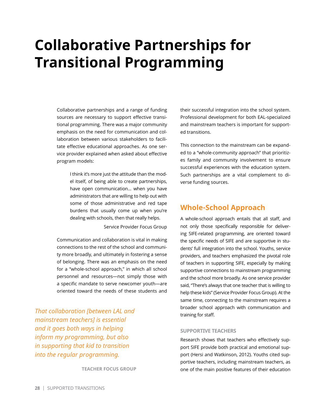# <span id="page-27-0"></span>**Collaborative Partnerships for Transitional Programming**

Collaborative partnerships and a range of funding sources are necessary to support effective transitional programming. There was a major community emphasis on the need for communication and collaboration between various stakeholders to facilitate effective educational approaches. As one service provider explained when asked about effective program models:

> I think it's more just the attitude than the model itself, of being able to create partnerships, have open communication… when you have administrators that are willing to help out with some of those administrative and red tape burdens that usually come up when you're dealing with schools, then that really helps.

> > Service Provider Focus Group

Communication and collaboration is vital in making connections to the rest of the school and community more broadly, and ultimately in fostering a sense of belonging. There was an emphasis on the need for a "whole-school approach," in which all school personnel and resources—not simply those with a specific mandate to serve newcomer youth—are oriented toward the needs of these students and

*That collaboration [between LAL and mainstream teachers] is essential and it goes both ways in helping inform my programming, but also in supporting that kid to transition into the regular programming.*

**TEACHER FOCUS GROUP**

their successful integration into the school system. Professional development for both EAL-specialized and mainstream teachers is important for supported transitions.

This connection to the mainstream can be expanded to a "whole-community approach" that prioritizes family and community involvement to ensure successful experiences with the education system. Such partnerships are a vital complement to diverse funding sources.

## **Whole-School Approach**

A whole-school approach entails that all staff, and not only those specifically responsible for delivering SIFE-related programming, are oriented toward the specific needs of SIFE and are supportive in students' full integration into the school. Youths, service providers, and teachers emphasized the pivotal role of teachers in supporting SIFE, especially by making supportive connections to mainstream programming and the school more broadly. As one service provider said, "There's always that one teacher that is willing to help these kids" (Service Provider Focus Group). At the same time, connecting to the mainstream requires a broader school approach with communication and training for staff.

#### **SUPPORTIVE TEACHERS**

Research shows that teachers who effectively support SIFE provide both practical and emotional support (Hersi and Watkinson, 2012). Youths cited supportive teachers, including mainstream teachers, as one of the main positive features of their education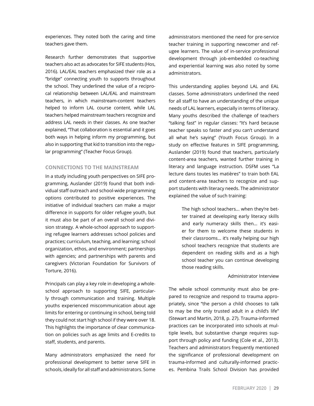experiences. They noted both the caring and time teachers gave them.

Research further demonstrates that supportive teachers also act as advocates for SIFE students (Hos, 2016). LAL/EAL teachers emphasized their role as a "bridge" connecting youth to supports throughout the school. They underlined the value of a reciprocal relationship between LAL/EAL and mainstream teachers, in which mainstream-content teachers helped to inform LAL course content, while LAL teachers helped mainstream teachers recognize and address LAL needs in their classes. As one teacher explained, "That collaboration is essential and it goes both ways in helping inform my programming, but also in supporting that kid to transition into the regular programming" (Teacher Focus Group).

### **CONNECTIONS TO THE MAINSTREAM**

In a study including youth perspectives on SIFE programming, Auslander (2019) found that both individual staff outreach and school-wide programming options contributed to positive experiences. The initiative of individual teachers can make a major difference in supports for older refugee youth, but it must also be part of an overall school and division strategy. A whole-school approach to supporting refugee learners addresses school policies and practices; curriculum, teaching, and learning; school organization, ethos, and environment; partnerships with agencies; and partnerships with parents and caregivers (Victorian Foundation for Survivors of Torture, 2016).

Principals can play a key role in developing a wholeschool approach to supporting SIFE, particularly through communication and training. Multiple youths experienced miscommunication about age limits for entering or continuing in school, being told they could not start high school if they were over 18. This highlights the importance of clear communication on policies such as age limits and E-credits to staff, students, and parents.

Many administrators emphasized the need for professional development to better serve SIFE in schools, ideally for all staff and administrators. Some

administrators mentioned the need for pre-service teacher training in supporting newcomer and refugee learners. The value of in-service professional development through job-embedded co-teaching and experiential learning was also noted by some administrators.

This understanding applies beyond LAL and EAL classes. Some administrators underlined the need for all staff to have an understanding of the unique needs of LAL learners, especially in terms of literacy. Many youths described the challenge of teachers "talking fast" in regular classes: "It's hard because teacher speaks so faster and you can't understand all what he's saying" (Youth Focus Group). In a study on effective features in SIFE programming, Auslander (2019) found that teachers, particularly content-area teachers, wanted further training in literacy and language instruction. DSFM uses "La lecture dans toutes les matières" to train both EAL and content-area teachers to recognize and support students with literacy needs. The administrator explained the value of such training:

> The high school teachers... when they're better trained at developing early literacy skills and early numeracy skills then... it's easier for them to welcome these students in their classrooms… it's really helping our high school teachers recognize that students are dependent on reading skills and as a high school teacher you can continue developing those reading skills.

#### Administrator Interview

The whole school community must also be prepared to recognize and respond to trauma appropriately, since "the person a child chooses to talk to may be the only trusted adult in a child's life" (Stewart and Martin, 2018, p. 27). Trauma-informed practices can be incorporated into schools at multiple levels, but substantive change requires support through policy and funding (Cole et al., 2013). Teachers and administrators frequently mentioned the significance of professional development on trauma-informed and culturally-informed practices. Pembina Trails School Division has provided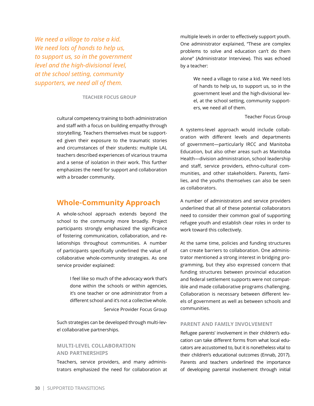*We need a village to raise a kid. We need lots of hands to help us, to support us, so in the government level and the high-divisional level, at the school setting, community supporters, we need all of them.* 

#### **TEACHER FOCUS GROUP**

cultural competency training to both administration and staff with a focus on building empathy through storytelling. Teachers themselves must be supported given their exposure to the traumatic stories and circumstances of their students: multiple LAL teachers described experiences of vicarious trauma and a sense of isolation in their work. This further emphasizes the need for support and collaboration with a broader community.

## **Whole-Community Approach**

A whole-school approach extends beyond the school to the community more broadly. Project participants strongly emphasized the significance of fostering communication, collaboration, and relationships throughout communities. A number of participants specifically underlined the value of collaborative whole-community strategies. As one service provider explained:

> I feel like so much of the advocacy work that's done within the schools or within agencies, it's one teacher or one administrator from a different school and it's not a collective whole. Service Provider Focus Group

Such strategies can be developed through multi-level collaborative partnerships.

### **MULTI-LEVEL COLLABORATION AND PARTNERSHIPS**

Teachers, service providers, and many administrators emphasized the need for collaboration at multiple levels in order to effectively support youth. One administrator explained, "These are complex problems to solve and education can't do them alone" (Administrator Interview). This was echoed by a teacher:

> We need a village to raise a kid. We need lots of hands to help us, to support us, so in the government level and the high-divisional level, at the school setting, community supporters, we need all of them.

> > Teacher Focus Group

A systems-level approach would include collaboration with different levels and departments of government—particularly IRCC and Manitoba Education, but also other areas such as Manitoba Health—division administration, school leadership and staff, service providers, ethno-cultural communities, and other stakeholders. Parents, families, and the youths themselves can also be seen as collaborators.

A number of administrators and service providers underlined that all of these potential collaborators need to consider their common goal of supporting refugee youth and establish clear roles in order to work toward this collectively.

At the same time, policies and funding structures can create barriers to collaboration. One administrator mentioned a strong interest in bridging programming, but they also expressed concern that funding structures between provincial education and federal settlement supports were not compatible and made collaborative programs challenging. Collaboration is necessary between different levels of government as well as between schools and communities.

### **PARENT AND FAMILY INVOLVEMENT**

Refugee parents' involvement in their children's education can take different forms from what local educators are accustomed to, but it is nonetheless vital to their children's educational outcomes (Ennab, 2017). Parents and teachers underlined the importance of developing parental involvement through initial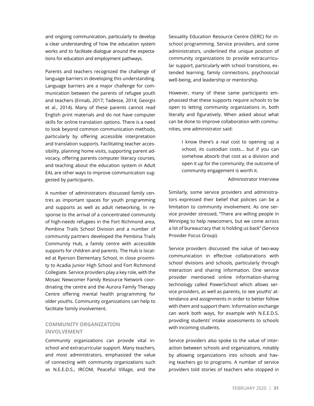and ongoing communication, particularly to develop a clear understanding of how the education system works and to facilitate dialogue around the expectations for education and employment pathways.

Parents and teachers recognized the challenge of language barriers in developing this understanding. Language barriers are a major challenge for communication between the parents of refugee youth and teachers (Ennab, 2017; Tadesse, 2014; Georgis et al., 2014). Many of these parents cannot read English print materials and do not have computer skills for online translation options. There is a need to look beyond common communication methods, particularly by offering accessible interpretation and translation supports. Facilitating teacher accessibility, planning home visits, supporting parent advocacy, offering parents computer literacy courses, and teaching about the education system in Adult EAL are other ways to improve communication suggested by participants.

A number of administrators discussed family centres as important spaces for youth programming and supports as well as adult networking. In response to the arrival of a concentrated community of high-needs refugees in the Fort Richmond area, Pembina Trails School Division and a number of community partners developed the Pembina Trails Community Hub, a family centre with accessible supports for children and parents. The Hub is located at Ryerson Elementary School, in close proximity to Acadia Junior High School and Fort Richmond Collegiate. Service providers play a key role, with the Mosaic Newcomer Family Resource Network coordinating the centre and the Aurora Family Therapy Centre offering mental health programming for older youths. Community organizations can help to facilitate family involvement.

### **COMMUNITY ORGANIZATION INVOLVEMENT**

Community organizations can provide vital inschool and extracurricular support. Many teachers, and most administrators, emphasized the value of connecting with community organizations such as N.E.E.D.S., IRCOM, Peaceful Village, and the

Sexuality Education Resource Centre (SERC) for inschool programming. Service providers, and some administrators, underlined the unique position of community organizations to provide extracurricular support, particularly with school transitions, extended learning, family connections, psychosocial well-being, and leadership or mentorship.

However, many of these same participants emphasized that these supports require schools to be open to letting community organizations in, both literally and figuratively. When asked about what can be done to improve collaboration with communities, one administrator said:

> I know there's a real cost to opening up a school, its custodian costs… but if you can somehow absorb that cost as a division and open it up for the community, the outcome of community engagement is worth it.

> > Administrator Interview

Similarly, some service providers and administrators expressed their belief that policies can be a limitation to community involvement. As one service provider stressed, "There are willing people in Winnipeg to help newcomers, but we come across a lot of bureaucracy that is holding us back" (Service Provider Focus Group).

Service providers discussed the value of two-way communication in effective collaborations with school divisions and schools, particularly through interaction and sharing information. One service provider mentioned online information-sharing technology called PowerSchool which allows service providers, as well as parents, to see youths' attendance and assignments in order to better follow with them and support them. Information exchange can work both ways, for example with N.E.E.D.S. providing students' intake assessments to schools with incoming students.

Service providers also spoke to the value of interaction between schools and organizations, notably by allowing organizations into schools and having teachers go to programs. A number of service providers told stories of teachers who stopped in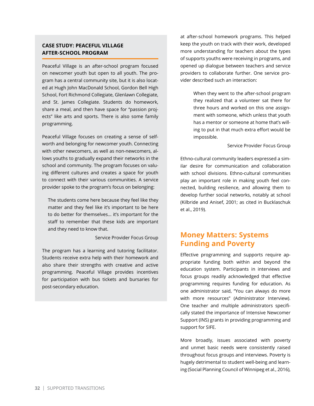### **CASE STUDY: PEACEFUL VILLAGE AFTER-SCHOOL PROGRAM**

Peaceful Village is an after-school program focused on newcomer youth but open to all youth. The program has a central community site, but it is also located at Hugh John MacDonald School, Gordon Bell High School, Fort Richmond Collegiate, Glenlawn Collegiate, and St. James Collegiate. Students do homework, share a meal, and then have space for "passion projects" like arts and sports. There is also some family programming.

Peaceful Village focuses on creating a sense of selfworth and belonging for newcomer youth. Connecting with other newcomers, as well as non-newcomers, allows youths to gradually expand their networks in the school and community. The program focuses on valuing different cultures and creates a space for youth to connect with their various communities. A service provider spoke to the program's focus on belonging:

The students come here because they feel like they matter and they feel like it's important to be here to do better for themselves… it's important for the staff to remember that these kids are important and they need to know that.

Service Provider Focus Group

The program has a learning and tutoring facilitator. Students receive extra help with their homework and also share their strengths with creative and active programming. Peaceful Village provides incentives for participation with bus tickets and bursaries for post-secondary education.

at after-school homework programs. This helped keep the youth on track with their work, developed more understanding for teachers about the types of supports youths were receiving in programs, and opened up dialogue between teachers and service providers to collaborate further. One service provider described such an interaction:

> When they went to the after-school program they realized that a volunteer sat there for three hours and worked on this one assignment with someone, which unless that youth has a mentor or someone at home that's willing to put in that much extra effort would be impossible.

> > Service Provider Focus Group

Ethno-cultural community leaders expressed a similar desire for communication and collaboration with school divisions. Ethno-cultural communities play an important role in making youth feel connected, building resilience, and allowing them to develop further social networks, notably at school (Kilbride and Anisef, 2001; as cited in Bucklaschuk et al., 2019).

## **Money Matters: Systems Funding and Poverty**

Effective programming and supports require appropriate funding both within and beyond the education system. Participants in interviews and focus groups readily acknowledged that effective programming requires funding for education. As one administrator said, "You can always do more with more resources" (Administrator Interview). One teacher and multiple administrators specifically stated the importance of Intensive Newcomer Support (INS) grants in providing programming and support for SIFE.

More broadly, issues associated with poverty and unmet basic needs were consistently raised throughout focus groups and interviews. Poverty is hugely detrimental to student well-being and learning (Social Planning Council of Winnipeg et al., 2016),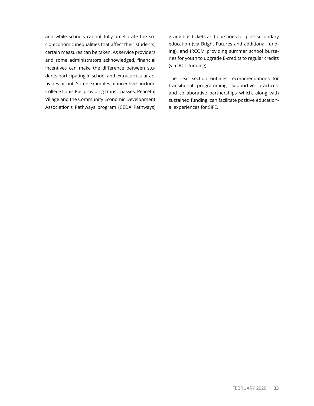and while schools cannot fully ameliorate the socio-economic inequalities that affect their students, certain measures can be taken. As service providers and some administrators acknowledged, financial incentives can make the difference between students participating in school and extracurricular activities or not. Some examples of incentives include Collège Louis Riel providing transit passes, Peaceful Village and the Community Economic Development Association's Pathways program (CEDA Pathways) giving bus tickets and bursaries for post-secondary education (via Bright Futures and additional funding), and IRCOM providing summer school bursaries for youth to upgrade E-credits to regular credits (via IRCC funding).

The next section outlines recommendations for transitional programming, supportive practices, and collaborative partnerships which, along with sustained funding, can facilitate positive educational experiences for SIFE.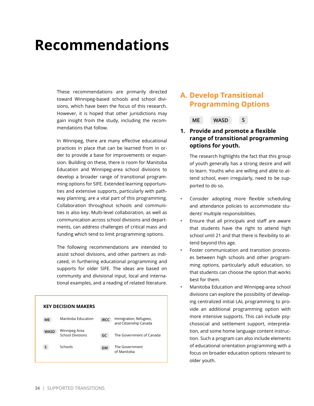# <span id="page-33-0"></span>**Recommendations**

These recommendations are primarily directed toward Winnipeg-based schools and school divisions, which have been the focus of this research. However, it is hoped that other jurisdictions may gain insight from the study, including the recommendations that follow.

In Winnipeg, there are many effective educational practices in place that can be learned from in order to provide a base for improvements or expansion. Building on these, there is room for Manitoba Education and Winnipeg-area school divisions to develop a broader range of transitional programming options for SIFE. Extended learning opportunities and extensive supports, particularly with pathway planning, are a vital part of this programming. Collaboration throughout schools and communities is also key. Multi-level collaboration, as well as communication across school divisions and departments, can address challenges of critical mass and funding which tend to limit programming options.

The following recommendations are intended to assist school divisions, and other partners as indicated, in furthering educational programming and supports for older SIFE. The ideas are based on community and divisional input, local and international examples, and a reading of related literature.

| <b>KEY DECISION MAKERS</b> |                                          |             |                                                  |  |  |  |
|----------------------------|------------------------------------------|-------------|--------------------------------------------------|--|--|--|
| <b>ME</b>                  | Manitoba Education                       | <b>IRCC</b> | Immigration, Refugees,<br>and Citizenship Canada |  |  |  |
| <b>WASD</b>                | Winnipeg Area<br><b>School Divisions</b> | GC          | The Government of Canada                         |  |  |  |
| S                          | Schools                                  | <b>GM</b>   | The Government<br>of Manitoba                    |  |  |  |

## **A. Develop Transitional Programming Options**

**ME WASD S**

### **1. Provide and promote a flexible range of transitional programming options for youth.**

The research highlights the fact that this group of youth generally has a strong desire and will to learn. Youths who are willing and able to attend school, even irregularly, need to be supported to do so.

- Consider adopting more flexible scheduling and attendance policies to accommodate students' multiple responsibilities.
- Ensure that all principals and staff are aware that students have the right to attend high school until 21 and that there is flexibility to attend beyond this age.
- Foster communication and transition processes between high schools and other programming options, particularly adult education, so that students can choose the option that works best for them.
- Manitoba Education and Winnipeg-area school divisions can explore the possibility of developing centralized initial LAL programming to provide an additional programming option with more intensive supports. This can include psychosocial and settlement support, interpretation, and some home language content instruction. Such a program can also include elements of educational orientation programming with a focus on broader education options relevant to older youth.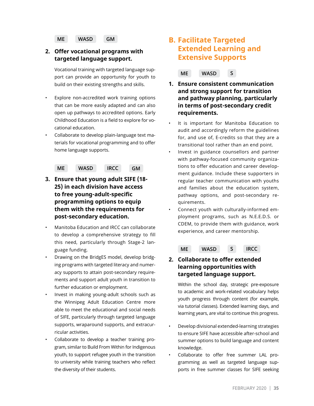**ME WASD GM**

## **2. Offer vocational programs with targeted language support.**

Vocational training with targeted language support can provide an opportunity for youth to build on their existing strengths and skills.

- Explore non-accredited work training options that can be more easily adapted and can also open up pathways to accredited options. Early Childhood Education is a field to explore for vocational education.
- Collaborate to develop plain-language text materials for vocational programming and to offer home language supports.

**ME WASD IRCC GM**

- **3. Ensure that young adult SIFE (18- 25) in each division have access to free young-adult-specific programming options to equip them with the requirements for post-secondary education.**
- Manitoba Education and IRCC can collaborate to develop a comprehensive strategy to fill this need, particularly through Stage-2 language funding.
- Drawing on the BridgES model, develop bridging programs with targeted literacy and numeracy supports to attain post-secondary requirements and support adult youth in transition to further education or employment.
- Invest in making young-adult schools such as the Winnipeg Adult Education Centre more able to meet the educational and social needs of SIFE, particularly through targeted language supports, wraparound supports, and extracurricular activities.
- Collaborate to develop a teacher training program, similar to Build From Within for Indigenous youth, to support refugee youth in the transition to university while training teachers who reflect the diversity of their students.

## **B. Facilitate Targeted Extended Learning and Extensive Supports**

**ME WASD S**

- **1. Ensure consistent communication and strong support for transition and pathway planning, particularly in terms of post-secondary credit requirements.**
- It is important for Manitoba Education to audit and accordingly reform the guidelines for, and use of, E-credits so that they are a transitional tool rather than an end point.
- Invest in guidance counsellors and partner with pathway-focused community organizations to offer education and career development guidance. Include these supporters in regular teacher communication with youths and families about the education system, pathway options, and post-secondary requirements.
- Connect youth with culturally-informed employment programs, such as N.E.E.D.S. or CDEM, to provide them with guidance, work experience, and career mentorship.

**ME WASD S IRCC**

### **2. Collaborate to offer extended learning opportunities with targeted language support.**

Within the school day, strategic pre-exposure to academic and work-related vocabulary helps youth progress through content (for example, via tutorial classes). Extended learning days, and learning years, are vital to continue this progress.

- Develop divisional extended-learning strategies to ensure SIFE have accessible after-school and summer options to build language and content knowledge.
- Collaborate to offer free summer LAL programming as well as targeted language supports in free summer classes for SIFE seeking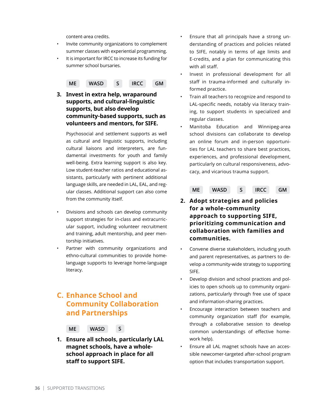content-area credits.

- Invite community organizations to complement summer classes with experiential programming.
- It is important for IRCC to increase its funding for summer school bursaries.

 **ME WASD S IRCC GM**

**3. Invest in extra help, wraparound supports, and cultural-linguistic supports, but also develop community-based supports, such as volunteers and mentors, for SIFE.**

Psychosocial and settlement supports as well as cultural and linguistic supports, including cultural liaisons and interpreters, are fundamental investments for youth and family well-being. Extra learning support is also key. Low student-teacher ratios and educational assistants, particularly with pertinent additional language skills, are needed in LAL, EAL, and regular classes. Additional support can also come from the community itself.

- Divisions and schools can develop community support strategies for in-class and extracurricular support, including volunteer recruitment and training, adult mentorship, and peer mentorship initiatives.
- Partner with community organizations and ethno-cultural communities to provide homelanguage supports to leverage home-language literacy.

## **C. Enhance School and Community Collaboration and Partnerships**



**1. Ensure all schools, particularly LAL magnet schools, have a wholeschool approach in place for all staff to support SIFE.** 

- Ensure that all principals have a strong understanding of practices and policies related to SIFE, notably in terms of age limits and E-credits, and a plan for communicating this with all staff.
- Invest in professional development for all staff in trauma-informed and culturally informed practice.
- Train all teachers to recognize and respond to LAL-specific needs, notably via literacy training, to support students in specialized and regular classes.
- Manitoba Education and Winnipeg-area school divisions can collaborate to develop an online forum and in-person opportunities for LAL teachers to share best practices, experiences, and professional development, particularly on cultural responsiveness, advocacy, and vicarious trauma support.

**ME WASD S IRCC GM**

- **2. Adopt strategies and policies for a whole-community approach to supporting SIFE, prioritizing communication and collaboration with families and communities.**
- Convene diverse stakeholders, including youth and parent representatives, as partners to develop a community-wide strategy to supporting SIFE.
- Develop division and school practices and policies to open schools up to community organizations, particularly through free use of space and information-sharing practices.
- Encourage interaction between teachers and community organization staff (for example, through a collaborative session to develop common understandings of effective homework help).
- Ensure all LAL magnet schools have an accessible newcomer-targeted after-school program option that includes transportation support.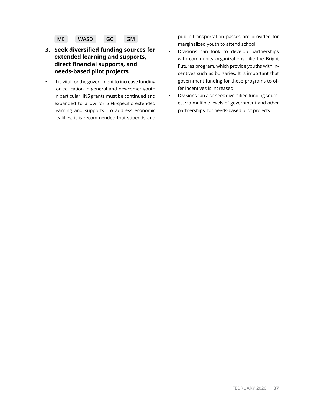

- **3. Seek diversified funding sources for extended learning and supports, direct financial supports, and needs-based pilot projects**
- It is vital for the government to increase funding for education in general and newcomer youth in particular. INS grants must be continued and expanded to allow for SIFE-specific extended learning and supports. To address economic realities, it is recommended that stipends and

public transportation passes are provided for marginalized youth to attend school.

- Divisions can look to develop partnerships with community organizations, like the Bright Futures program, which provide youths with incentives such as bursaries. It is important that government funding for these programs to offer incentives is increased.
- Divisions can also seek diversified funding sources, via multiple levels of government and other partnerships, for needs-based pilot projects.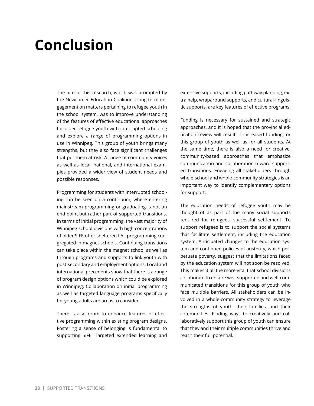# <span id="page-37-0"></span>**Conclusion**

The aim of this research, which was prompted by the Newcomer Education Coalition's long-term engagement on matters pertaining to refugee youth in the school system, was to improve understanding of the features of effective educational approaches for older refugee youth with interrupted schooling and explore a range of programming options in use in Winnipeg. This group of youth brings many strengths, but they also face significant challenges that put them at risk. A range of community voices as well as local, national, and international examples provided a wider view of student needs and possible responses.

Programming for students with interrupted schooling can be seen on a continuum, where entering mainstream programming or graduating is not an end point but rather part of supported transitions. In terms of initial programming, the vast majority of Winnipeg school divisions with high concentrations of older SIFE offer sheltered LAL programming congregated in magnet schools. Continuing transitions can take place within the magnet school as well as through programs and supports to link youth with post-secondary and employment options. Local and international precedents show that there is a range of program design options which could be explored in Winnipeg. Collaboration on initial programming as well as targeted language programs specifically for young adults are areas to consider.

There is also room to enhance features of effective programming within existing program designs. Fostering a sense of belonging is fundamental to supporting SIFE. Targeted extended learning and extensive supports, including pathway planning, extra help, wraparound supports, and cultural-linguistic supports, are key features of effective programs.

Funding is necessary for sustained and strategic approaches, and it is hoped that the provincial education review will result in increased funding for this group of youth as well as for all students. At the same time, there is also a need for creative, community-based approaches that emphasize communication and collaboration toward supported transitions. Engaging all stakeholders through whole-school and whole-community strategies is an important way to identify complementary options for support.

The education needs of refugee youth may be thought of as part of the many social supports required for refugees' successful settlement. To support refugees is to support the social systems that facilitate settlement, including the education system. Anticipated changes to the education system and continued policies of austerity, which perpetuate poverty, suggest that the limitations faced by the education system will not soon be resolved. This makes it all the more vital that school divisions collaborate to ensure well-supported and well-communicated transitions for this group of youth who face multiple barriers. All stakeholders can be involved in a whole-community strategy to leverage the strengths of youth, their families, and their communities. Finding ways to creatively and collaboratively support this group of youth can ensure that they and their multiple communities thrive and reach their full potential.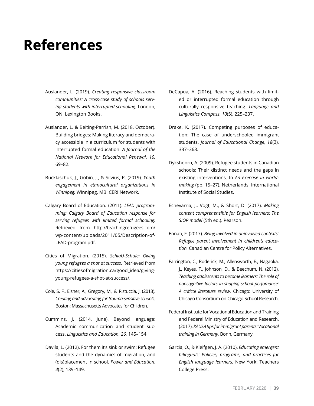# <span id="page-38-0"></span>**References**

- Auslander, L. (2019). *Creating responsive classroom communities: A cross-case study of schools serving students with interrupted schooling.* London, ON: Lexington Books.
- Auslander, L. & Beiting-Parrish, M. (2018, October). Building bridges: Making literacy and democracy accessible in a curriculum for students with interrupted formal education. *A Journal of the National Network for Educational Renewal*, *10,*  69–82.
- Bucklaschuk, J., Gobin, J., & Silvius, R. (2019). *Youth engagement in ethnocultural organizations in Winnipeg.* Winnipeg, MB: CERI Network.
- Calgary Board of Education. (2011). *LEAD programming: Calgary Board of Education response for serving refugees with limited formal schooling.*  Retrieved from [http://teachingrefugees.com/](http://teachingrefugees.com/wp-content/uploads/2011/05/Description-of-LEAD-program.pdf) [wp-content/uploads/2011/05/Description-of-](http://teachingrefugees.com/wp-content/uploads/2011/05/Description-of-LEAD-program.pdf)[LEAD-program.pdf.](http://teachingrefugees.com/wp-content/uploads/2011/05/Description-of-LEAD-program.pdf)
- Cities of Migration. (2015). *SchlaU-Schule: Giving young refugees a shot at success.* Retrieved from [https://citiesofmigration.ca/good\\_idea/giving](https://citiesofmigration.ca/good_idea/giving-young-refugees-a-shot-at-success/)[young-refugees-a-shot-at-success/](https://citiesofmigration.ca/good_idea/giving-young-refugees-a-shot-at-success/).
- Cole, S. F., Eisner, A., Gregory, M., & Ristuccia, J. (2013). *Creating and advocating for trauma-sensitive schools.* Boston: Massachusetts Advocates for Children.
- Cummins, J. (2014, June). Beyond language: Academic communication and student success. *Linguistics and Education*, *26,* 145–154.
- Davila, L. (2012). For them it's sink or swim: Refugee students and the dynamics of migration, and (dis)placement in school. *Power and Education*, *4*(2), 139–149.
- DeCapua, A. (2016). Reaching students with limited or interrupted formal education through culturally responsive teaching. *Language and Linguistics Compass*, *10*(5), 225–237.
- Drake, K. (2017). Competing purposes of education: The case of underschooled immigrant students. *Journal of Educational Change*, *18*(3), 337–363.
- Dykshoorn, A. (2009). Refugee students in Canadian schools: Their distinct needs and the gaps in existing interventions. In *An exercise in worldmaking* (pp. 15–27). Netherlands: International Institute of Social Studies.
- Echevarria, J., Vogt, M., & Short, D. (2017). *Making content comprehensible for English learners: The SIOP model* (5th ed.). Pearson.
- Ennab, F. (2017). *Being involved in uninvolved contexts: Refugee parent involvement in children's education.* Canadian Centre for Policy Alternatives.
- Farrington, C., Roderick, M., Allensworth, E., Nagaoka, J., Keyes, T., Johnson, D., & Beechum, N. (2012). *Teaching adolescents to become learners: The role of noncognitive factors in shaping school perfomance: A critical literature review.* Chicago: University of Chicago Consortium on Chicago School Research.
- Federal Institute for Vocational Education and Training and Federal Ministry of Education and Research. (2017). *KAUSA tips for immigrant parents: Vocational training in Germany.* Bonn, Germany.
- Garcia, O., & Kleifgen, J. A. (2010). *Educating emergent bilinguals: Policies, programs, and practices for English language learners.* New York: Teachers College Press.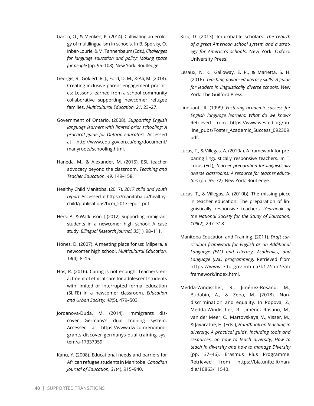- Garcia, O., & Menken, K. (2014). Cultivating an ecology of multilingualism in schools. In B. Spolsky, O. Inbar-Lourie, & M. Tannenbaum (Eds.), *Challenges for language education and policy: Making space for people* (pp. 95–108). New York: Routledge.
- Georgis, R., Gokiert, R. J., Ford, D. M., & Ali, M. (2014). Creating inclusive parent engagement practices: Lessons learned from a school community collaborative supporting newcomer refugee families. *Multicultural Education, 21,* 23–27.
- Government of Ontario. (2008). *Supporting English language learners with limited prior schooling: A practical guide for Ontario educators.* Accessed at [http://www.edu.gov.on.ca/eng/document/](http://www.edu.gov.on.ca/eng/document/manyroots/schooling.html) [manyroots/schooling.html](http://www.edu.gov.on.ca/eng/document/manyroots/schooling.html).
- Haneda, M., & Alexander, M. (2015). ESL teacher advocacy beyond the classroom. *Teaching and Teacher Education*, *49,* 149–158.
- Healthy Child Manitoba. (2017). *2017 child and youth report.* Accessed at [https://manitoba.ca/healthy](https://manitoba.ca/healthychild/publications/hcm_2017report.pdf)[child/publications/hcm\\_2017report.pdf.](https://manitoba.ca/healthychild/publications/hcm_2017report.pdf)
- Hersi, A., & Watkinson, J. (2012). Supporting immigrant students in a newcomer high school: A case study. *Bilingual Research Journal, 35*(1), 98–111.
- Hones, D. (2007). A meeting place for us: Milpera, a newcomer high school. *Multicultural Education, 14*(4), 8–15.
- Hos, R. (2016). Caring is not enough: Teachers' enactment of ethical care for adolescent students with limited or interrupted formal education (SLIFE) in a newcomer classroom. *Education and Urban Society, 48*(5), 479–503.
- Jordanova-Duda, M. (2014). Immigrants discover Germany's dual training system. Accessed at [https://www.dw.com/en/immi](https://www.dw.com/en/immigrants-discover-germanys-dual-training-system/a-17337959)[grants-discover-germanys-dual-training-sys](https://www.dw.com/en/immigrants-discover-germanys-dual-training-system/a-17337959)[tem/a-17337959.](https://www.dw.com/en/immigrants-discover-germanys-dual-training-system/a-17337959)
- Kanu, Y. (2008). Educational needs and barriers for African refugee students in Manitoba. *Canadian Journal of Education, 31*(4), 915–940.
- Kirp, D. (2013). Improbable scholars: *The rebirth of a great American school system and a strategy for America's schools.* New York: Oxford University Press.
- Lesaux, N. K., Galloway, E. P., & Marietta, S. H. (2016). *Teaching advanced literacy skills: A guide for leaders in linguistically diverse schools.* New York: The Guilford Press.
- Linquanti, R. (1999*). Fostering academic success for English language learners: What do we know?*  Retrieved from [https://www.wested.org/on](https://www.wested.org/online_pubs/Foster_Academic_Success_092309.pdf)[line\\_pubs/Foster\\_Academic\\_Success\\_092309.](https://www.wested.org/online_pubs/Foster_Academic_Success_092309.pdf) [pdf.](https://www.wested.org/online_pubs/Foster_Academic_Success_092309.pdf)
- Lucas, T., & Villegas, A. (2010a). A framework for preparing linguistically responsive teachers. In T. Lucas (Ed.), *Teacher preparation for linguistically diverse classrooms: A resource for teacher educators* (pp. 55–72). New York: Routledge.
- Lucas, T., & Villegas, A. (2010b). The missing piece in teacher education: The preparation of linguistically responsive teachers. *Yearbook of the National Society for the Study of Education, 109*(2), 297–318.
- Manitoba Education and Training. (2011). *Draft curriculum framework for English as an Additional Language (EAL) and Literacy, Academics, and Language (LAL) programming.* Retrieved from [https://www.edu.gov.mb.ca/k12/cur/eal/](https://www.edu.gov.mb.ca/k12/cur/eal/framework/index.html) [framework/index.html.](https://www.edu.gov.mb.ca/k12/cur/eal/framework/index.html)
- Medda-Windischer, R., Jiménez-Rosano, M., Budabin, A., & Zeba, M. (2018). Nondiscrimination and equality. In Popova, Z., Medda-Windischer, R., Jiménez-Rosano, M., van der Meer, C., Martovskaya, V., Visser, M., & Jayaratne, H. (Eds.), *Handbook on teaching in diversity: A practical guide, including tools and resources, on how to teach diversity, How to teach in diversity and how to manage Diversity* (pp. 37–46). Erasmus Plus Programme. Retrieved from [https://bia.unibz.it/han](https://bia.unibz.it/handle/10863/11540)[dle/10863/11540](https://bia.unibz.it/handle/10863/11540).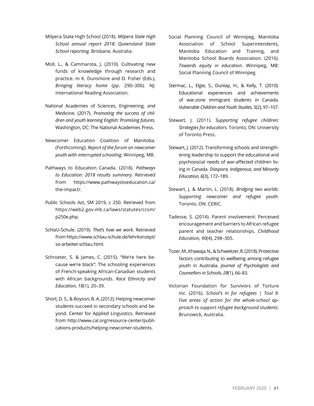- Milpera State High School (2018). *Milpera State High School annual report 2018: Queensland State School reporting.* Brisbane, Australia.
- Moll, L., & Cammarota, J. (2010). Cultivating new funds of knowledge through research and practice. In K. Dunsmore and D. Fisher (Eds.), *Bringing literacy home* (pp. 290–306). NJ: International Reading Association.
- National Academies of Sciences, Engineering, and Medicine. (2017). *Promoting the success of children and youth learning English: Promising futures.*  Washington, DC: The National Academies Press.
- Newcomer Education Coalition of Manitoba. (Forthcoming). *Report of the forum on newcomer youth with interrupted schooling.* Winnipeg, MB.
- Pathways to Education Canada. (2018). *Pathways to Education: 2018 results summary.* Retrieved from [https://www.pathwaystoeducation.ca/](https://www.pathwaystoeducation.ca/the-impact/) [the-impact/.](https://www.pathwaystoeducation.ca/the-impact/)
- Public Schools Act, SM 2019, c 250. Retrieved from [https://web2.gov.mb.ca/laws/statutes/ccsm/](https://web2.gov.mb.ca/laws/statutes/ccsm/p250e.php) [p250e.php](https://web2.gov.mb.ca/laws/statutes/ccsm/p250e.php).
- SchlaU-Schule. (2019). *That's how we work.* Retrieved from [https://www.schlau-schule.de/lehrkonzept/](https://www.schlau-schule.de/lehrkonzept/so-arbeitet-schlau.html) [so-arbeitet-schlau.html](https://www.schlau-schule.de/lehrkonzept/so-arbeitet-schlau.html).
- Schroeter, S. & James, C. (2015). "We're here because we're black": The schooling experiences of French-speaking African-Canadian students with African backgrounds. *Race Ethnicity and Education, 18*(1), 20–39.
- Short, D. S., & Boyson, B. A. (2012). Helping newcomer students succeed in secondary schools and beyond. Center for Applied Linguistics. Retrieved from [http://www.cal.org/resource-center/publi](http://www.cal.org/resource-center/publications-products/helping-newcomer-students)[cations-products/helping-newcomer-students.](http://www.cal.org/resource-center/publications-products/helping-newcomer-students)
- Social Planning Council of Winnipeg, Manitoba Association of School Superintendents, Manitoba Education and Training, and Manitoba School Boards Association. (2016). *Towards equity in education.* Winnipeg, MB: Social Planning Council of Winnipeg.
- Stermac, L., Elgie, S., Dunlap, H., & Kelly, T. (2010). Educational experiences and achievements of war-zone immigrant students in Canada. *Vulnerable Children and Youth Studies, 5*(2), 97–107.
- Stewart, J. (2011). *Supporting refugee children: Strategies for educators.* Toronto, ON: University of Toronto Press.
- Stewart, J. (2012). Transforming schools and strengthening leadership to support the educational and psychosocial needs of war-affected children living in Canada. *Diaspora, Indigenous, and Minority Education, 6*(3), 172–189.
- Stewart, J. & Martin, L. (2018). *Bridging two worlds: Supporting newcomer and refugee youth.*  Toronto, ON: CERIC.
- Tadesse, S. (2014). Parent involvement: Perceived encouragement and barriers to African refugee parent and teacher relationships. *Childhood Education, 90*(4), 298–305.
- Tozer, M., Khawaja, N., & Schweitzer, R. (2018). Protective factors contributing to wellbeing among refugee youth in Australia. *Journal of Psychologists and Counsellors in Schools, 28*(1), 66–83.
- Victorian Foundation for Survivors of Torture Inc. (2016). *School's In for refugees | Tool 9: Five areas of action for the whole-school approach to support refugee background students.*  Brunswick, Australia.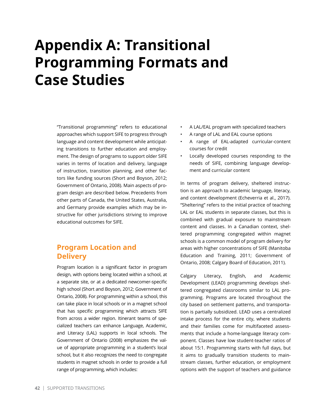# <span id="page-41-0"></span>**Appendix A: Transitional Programming Formats and Case Studies**

"Transitional programming" refers to educational approaches which support SIFE to progress through language and content development while anticipating transitions to further education and employment. The design of programs to support older SIFE varies in terms of location and delivery, language of instruction, transition planning, and other factors like funding sources (Short and Boyson, 2012; Government of Ontario, 2008). Main aspects of program design are described below. Precedents from other parts of Canada, the United States, Australia, and Germany provide examples which may be instructive for other jurisdictions striving to improve educational outcomes for SIFE.

## **Program Location and Delivery**

Program location is a significant factor in program design, with options being located within a school, at a separate site, or at a dedicated newcomer-specific high school (Short and Boyson, 2012; Government of Ontario, 2008). For programming within a school, this can take place in local schools or in a magnet school that has specific programming which attracts SIFE from across a wider region. Itinerant teams of specialized teachers can enhance Language, Academic, and Literacy (LAL) supports in local schools. The Government of Ontario (2008) emphasizes the value of appropriate programming in a student's local school, but it also recognizes the need to congregate students in magnet schools in order to provide a full range of programming, which includes:

- A LAL/EAL program with specialized teachers
- A range of LAL and EAL course options
- A range of EAL-adapted curricular-content courses for credit
- Locally developed courses responding to the needs of SIFE, combining language development and curricular content

In terms of program delivery, sheltered instruction is an approach to academic language, literacy, and content development (Echeverria et al., 2017). "Sheltering" refers to the initial practice of teaching LAL or EAL students in separate classes, but this is combined with gradual exposure to mainstream content and classes. In a Canadian context, sheltered programming congregated within magnet schools is a common model of program delivery for areas with higher concentrations of SIFE (Manitoba Education and Training, 2011; Government of Ontario, 2008; Calgary Board of Education, 2011).

Calgary Literacy, English, and Academic Development (LEAD) programming develops sheltered congregated classrooms similar to LAL programming. Programs are located throughout the city based on settlement patterns, and transportation is partially subsidized. LEAD uses a centralized intake process for the entire city, where students and their families come for multifaceted assessments that include a home-language literacy component. Classes have low student-teacher ratios of about 15:1. Programming starts with full days, but it aims to gradually transition students to mainstream classes, further education, or employment options with the support of teachers and guidance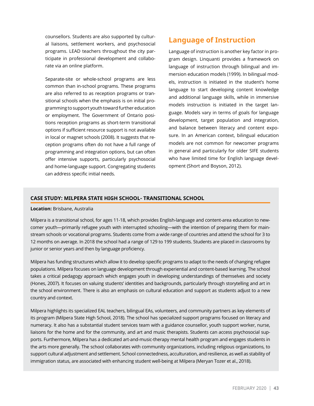counsellors. Students are also supported by cultural liaisons, settlement workers, and psychosocial programs. LEAD teachers throughout the city participate in professional development and collaborate via an online platform.

Separate-site or whole-school programs are less common than in-school programs. These programs are also referred to as reception programs or transitional schools when the emphasis is on initial programming to support youth toward further education or employment. The Government of Ontario positions reception programs as short-term transitional options if sufficient resource support is not available in local or magnet schools (2008). It suggests that reception programs often do not have a full range of programming and integration options, but can often offer intensive supports, particularly psychosocial and home-language support. Congregating students can address specific initial needs.

## **Language of Instruction**

Language of instruction is another key factor in program design. Linquanti provides a framework on language of instruction through bilingual and immersion education models (1999). In bilingual models, instruction is initiated in the student's home language to start developing content knowledge and additional language skills, while in immersive models instruction is initiated in the target language. Models vary in terms of goals for language development, target population and integration, and balance between literacy and content exposure. In an American context, bilingual education models are not common for newcomer programs in general and particularly for older SIFE students who have limited time for English language development (Short and Boyson, 2012).

#### **CASE STUDY: MILPERA STATE HIGH SCHOOL- TRANSITIONAL SCHOOL**

#### **Location:** Brisbane, Australia

Milpera is a transitional school, for ages 11-18, which provides English-language and content-area education to newcomer youth—primarily refugee youth with interrupted schooling—with the intention of preparing them for mainstream schools or vocational programs. Students come from a wide range of countries and attend the school for 3 to 12 months on average. In 2018 the school had a range of 129 to 199 students. Students are placed in classrooms by junior or senior years and then by language proficiency.

Milpera has funding structures which allow it to develop specific programs to adapt to the needs of changing refugee populations. Milpera focuses on language development through experiential and content-based learning. The school takes a critical pedagogy approach which engages youth in developing understandings of themselves and society (Hones, 2007). It focuses on valuing students' identities and backgrounds, particularly through storytelling and art in the school environment. There is also an emphasis on cultural education and support as students adjust to a new country and context.

Milpera highlights its specialized EAL teachers, bilingual EAs, volunteers, and community partners as key elements of its program (Milpera State High School, 2018). The school has specialized support programs focused on literacy and numeracy. It also has a substantial student services team with a guidance counsellor, youth support worker, nurse, liaisons for the home and for the community, and art and music therapists. Students can access psychosocial supports. Furthermore, Milpera has a dedicated art-and-music-therapy mental health program and engages students in the arts more generally. The school collaborates with community organizations, including religious organizations, to support cultural adjustment and settlement. School connectedness, acculturation, and resilience, as well as stability of immigration status, are associated with enhancing student well-being at Milpera (Meryan Tozer et al., 2018).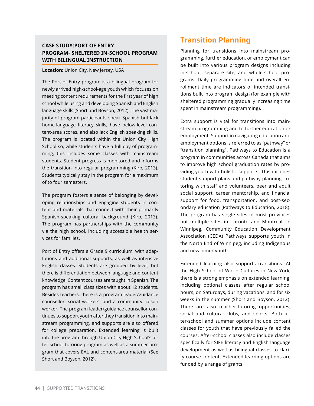### **CASE STUDY:PORT OF ENTRY PROGRAM- SHELTERED IN-SCHOOL PROGRAM WITH BILINGUAL INSTRUCTION**

#### **Location:** Union City, New Jersey, USA

The Port of Entry program is a bilingual program for newly arrived high-school-age youth which focuses on meeting content requirements for the first year of high school while using and developing Spanish and English language skills (Short and Boyson, 2012). The vast majority of program participants speak Spanish but lack home-language literacy skills, have below-level content-area scores, and also lack English speaking skills. The program is located within the Union City High School so, while students have a full day of programming, this includes some classes with mainstream students. Student progress is monitored and informs the transition into regular programming (Kirp, 2013). Students typically stay in the program for a maximum of to four semesters.

The program fosters a sense of belonging by developing relationships and engaging students in content and materials that connect with their primarily Spanish-speaking cultural background (Kirp, 2013). The program has partnerships with the community via the high school, including accessible health services for families.

Port of Entry offers a Grade 9 curriculum, with adaptations and additional supports, as well as intensive English classes. Students are grouped by level, but there is differentiation between language and content knowledge. Content courses are taught in Spanish. The program has small class sizes with about 12 students. Besides teachers, there is a program leader/guidance counsellor, social workers, and a community liaison worker. The program leader/guidance counsellor continues to support youth after they transition into mainstream programming, and supports are also offered for college preparation. Extended learning is built into the program through Union City High School's after-school tutoring program as well as a summer program that covers EAL and content-area material (See Short and Boyson, 2012).

# **Transition Planning**

Planning for transitions into mainstream programming, further education, or employment can be built into various program designs including in-school, separate site, and whole-school programs. Daily programming time and overall enrollment time are indicators of intended transitions built into program design (for example with sheltered programming gradually increasing time spent in mainstream programming).

Extra support is vital for transitions into mainstream programming and to further education or employment. Support in navigating education and employment options is referred to as "pathway" or "transition planning". Pathways to Education is a program in communities across Canada that aims to improve high school graduation rates by providing youth with holistic supports. This includes student support plans and pathway planning, tutoring with staff and volunteers, peer and adult social support, career mentorship, and financial support for food, transportation, and post-secondary education (Pathways to Education, 2018). The program has single sites in most provinces but multiple sites in Toronto and Montreal. In Winnipeg, Community Education Development Association (CEDA) Pathways supports youth in the North End of Winnipeg, including Indigenous and newcomer youth.

Extended learning also supports transitions. At the High School of World Cultures in New York, there is a strong emphasis on extended learning, including optional classes after regular school hours, on Saturdays, during vacations, and for six weeks in the summer (Short and Boyson, 2012). There are also teacher-tutoring opportunities, social and cultural clubs, and sports. Both after-school and summer options include content classes for youth that have previously failed the courses. After-school classes also include classes specifically for SIFE literacy and English language development as well as bilingual classes to clarify course content. Extended learning options are funded by a range of grants.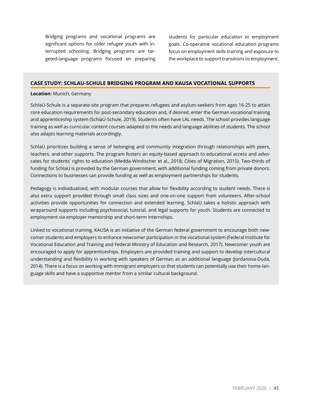Bridging programs and vocational programs are significant options for older refugee youth with interrupted schooling. Bridging programs are targeted-language programs focused on preparing students for particular education or employment goals. Co-operative vocational education programs focus on employment skills training and exposure to the workplace to support transitions to employment.

#### **CASE STUDY: SCHLAU-SCHULE BRIDGING PROGRAM AND KAUSA VOCATIONAL SUPPORTS**

#### **Location:** Munich, Germany

SchlaU-Schule is a separate-site program that prepares refugees and asylum-seekers from ages 16-25 to attain core education requirements for post-secondary education and, if desired, enter the German vocational training and apprenticeship system (SchlaU-Schule, 2019). Students often have LAL needs. The school provides language training as well as curricular content courses adapted to the needs and language abilities of students. The school also adapts learning materials accordingly.

SchlaU prioritizes building a sense of belonging and community integration through relationships with peers, teachers, and other supports. The program fosters an equity-based approach to educational access and advocates for students' rights to education (Medda-Windischer et al., 2018; Cities of Migration, 2015). Two-thirds of funding for SchlaU is provided by the German government, with additional funding coming from private donors. Connections to businesses can provide funding as well as employment partnerships for students.

Pedagogy is individualized, with modular courses that allow for flexibility according to student needs. There is also extra support provided through small class sizes and one-on-one support from volunteers. After-school activities provide opportunities for connection and extended learning. SchlaU takes a holistic approach with wraparound supports including psychosocial, tutorial, and legal supports for youth. Students are connected to employment via employer mentorship and short-term internships.

Linked to vocational training, KAUSA is an initiative of the German federal government to encourage both newcomer students and employers to enhance newcomer participation in the vocational system (Federal Institute for Vocational Education and Training and Federal Ministry of Education and Research, 2017). Newcomer youth are encouraged to apply for apprenticeships. Employers are provided training and support to develop intercultural understanding and flexibility in working with speakers of German as an additional language (Jordanova-Duda, 2014). There is a focus on working with immigrant employers so that students can potentially use their home-language skills and have a supportive mentor from a similar cultural background.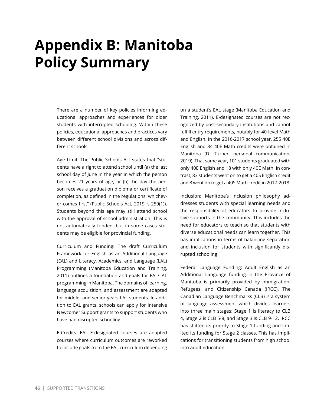# <span id="page-45-0"></span>**Appendix B: Manitoba Policy Summary**

There are a number of key policies informing educational approaches and experiences for older students with interrupted schooling. Within these policies, educational approaches and practices vary between different school divisions and across different schools.

Age Limit: The Public Schools Act states that "students have a right to attend school until (a) the last school day of June in the year in which the person becomes 21 years of age; or (b) the day the person receives a graduation diploma or certificate of completion, as defined in the regulations; whichever comes first" (Public Schools Act, 2019, s 259(1)). Students beyond this age may still attend school with the approval of school administration. This is not automatically funded, but in some cases students may be eligible for provincial funding.

Curriculum and Funding: The draft Curriculum Framework for English as an Additional Language (EAL) and Literacy, Academics, and Language (LAL) Programming (Manitoba Education and Training, 2011) outlines a foundation and goals for EAL/LAL programming in Manitoba. The domains of learning, language acquisition, and assessment are adapted for middle- and senior-years LAL students. In addition to EAL grants, schools can apply for Intensive Newcomer Support grants to support students who have had disrupted schooling.

E-Credits: EAL E-designated courses are adapted courses where curriculum outcomes are reworked to include goals from the EAL curriculum depending on a student's EAL stage (Manitoba Education and Training, 2011). E-designated courses are not recognized by post-secondary institutions and cannot fulfill entry requirements, notably for 40-level Math and English. In the 2016-2017 school year, 255 40E English and 34 40E Math credits were obtained in Manitoba (D. Turner, personal communication, 2019). That same year, 101 students graduated with only 40E English and 18 with only 40E Math. In contrast, 83 students went on to get a 40S English credit and 8 went on to get a 40S Math credit in 2017-2018.

Inclusion: Manitoba's inclusion philosophy addresses students with special learning needs and the responsibility of educators to provide inclusive supports in the community. This includes the need for educators to teach so that students with diverse educational needs can learn together. This has implications in terms of balancing separation and inclusion for students with significantly disrupted schooling.

Federal Language Funding: Adult English as an Additional Language funding in the Province of Manitoba is primarily provided by Immigration, Refugees, and Citizenship Canada (IRCC). The Canadian Language Benchmarks (CLB) is a system of language assessment which divides learners into three main stages: Stage 1 is literacy to CLB 4, Stage 2 is CLB 5-8, and Stage 3 is CLB 9-12. IRCC has shifted its priority to Stage 1 funding and limited its funding for Stage 2 classes. This has implications for transitioning students from high school into adult education.